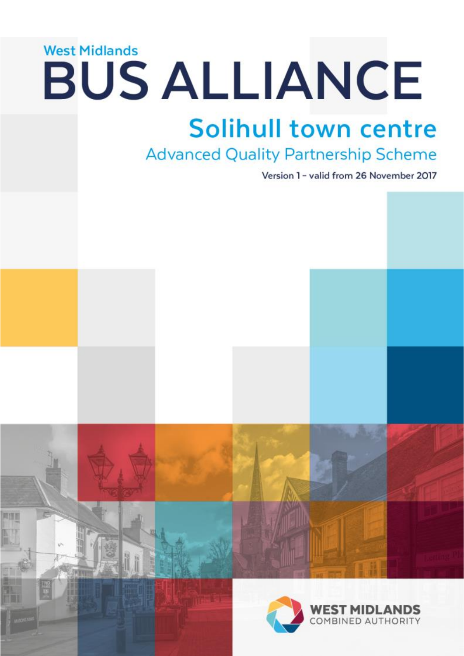# **West Midlands BUS ALLIANCE**

## Solihull town centre

**Advanced Quality Partnership Scheme** 

Version 1 - valid from 26 November 2017

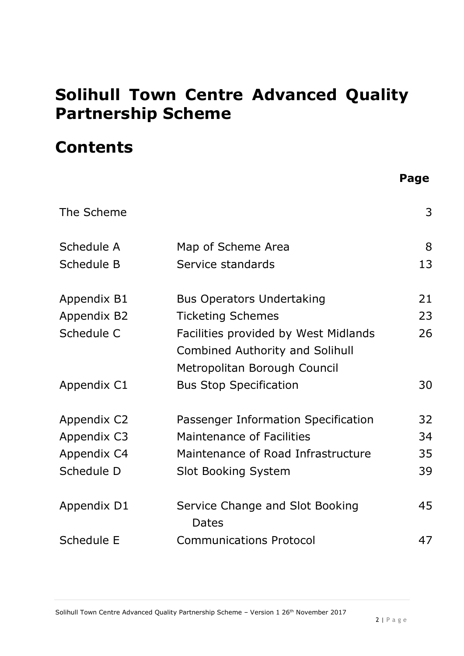### **Solihull Town Centre Advanced Quality Partnership Scheme**

### **Contents**

|             |                                                                                | wgu |
|-------------|--------------------------------------------------------------------------------|-----|
| The Scheme  |                                                                                | 3   |
| Schedule A  | Map of Scheme Area                                                             | 8   |
| Schedule B  | Service standards                                                              | 13  |
| Appendix B1 | <b>Bus Operators Undertaking</b>                                               | 21  |
| Appendix B2 | <b>Ticketing Schemes</b>                                                       | 23  |
| Schedule C  | Facilities provided by West Midlands<br><b>Combined Authority and Solihull</b> | 26  |
|             | Metropolitan Borough Council                                                   |     |
| Appendix C1 | <b>Bus Stop Specification</b>                                                  | 30  |
| Appendix C2 | Passenger Information Specification                                            | 32  |
| Appendix C3 | Maintenance of Facilities                                                      | 34  |
| Appendix C4 | Maintenance of Road Infrastructure                                             | 35  |
| Schedule D  | <b>Slot Booking System</b>                                                     | 39  |
| Appendix D1 | Service Change and Slot Booking<br><b>Dates</b>                                | 45  |
| Schedule E  | <b>Communications Protocol</b>                                                 | 47  |

**Page**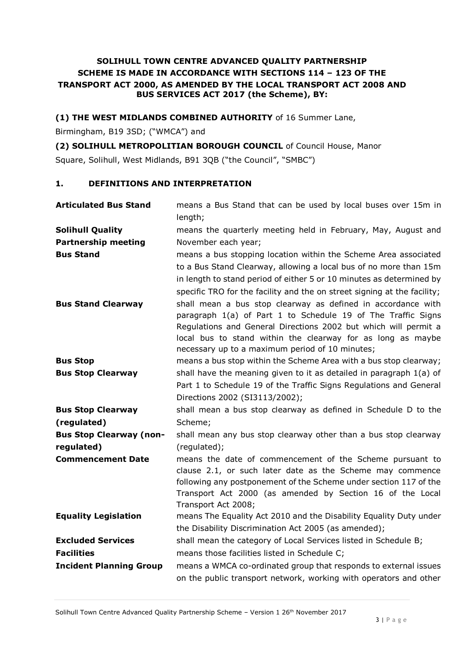#### <span id="page-2-0"></span>**SOLIHULL TOWN CENTRE ADVANCED QUALITY PARTNERSHIP SCHEME IS MADE IN ACCORDANCE WITH SECTIONS 114 – 123 OF THE TRANSPORT ACT 2000, AS AMENDED BY THE LOCAL TRANSPORT ACT 2008 AND BUS SERVICES ACT 2017 (the Scheme), BY:**

**(1) THE WEST MIDLANDS COMBINED AUTHORITY** of 16 Summer Lane,

Birmingham, B19 3SD; ("WMCA") and

**(2) SOLIHULL METROPOLITIAN BOROUGH COUNCIL** of Council House, Manor

Square, Solihull, West Midlands, B91 3QB ("the Council", "SMBC")

#### **1. DEFINITIONS AND INTERPRETATION**

| <b>Articulated Bus Stand</b>   | means a Bus Stand that can be used by local buses over 15m in            |
|--------------------------------|--------------------------------------------------------------------------|
|                                | length;                                                                  |
| <b>Solihull Quality</b>        | means the quarterly meeting held in February, May, August and            |
| <b>Partnership meeting</b>     | November each year;                                                      |
| <b>Bus Stand</b>               | means a bus stopping location within the Scheme Area associated          |
|                                | to a Bus Stand Clearway, allowing a local bus of no more than 15m        |
|                                | in length to stand period of either 5 or 10 minutes as determined by     |
|                                | specific TRO for the facility and the on street signing at the facility; |
| <b>Bus Stand Clearway</b>      | shall mean a bus stop clearway as defined in accordance with             |
|                                | paragraph 1(a) of Part 1 to Schedule 19 of The Traffic Signs             |
|                                | Regulations and General Directions 2002 but which will permit a          |
|                                | local bus to stand within the clearway for as long as maybe              |
|                                | necessary up to a maximum period of 10 minutes;                          |
| <b>Bus Stop</b>                | means a bus stop within the Scheme Area with a bus stop clearway;        |
| <b>Bus Stop Clearway</b>       | shall have the meaning given to it as detailed in paragraph 1(a) of      |
|                                | Part 1 to Schedule 19 of the Traffic Signs Regulations and General       |
|                                | Directions 2002 (SI3113/2002);                                           |
| <b>Bus Stop Clearway</b>       | shall mean a bus stop clearway as defined in Schedule D to the           |
| (regulated)                    | Scheme;                                                                  |
| <b>Bus Stop Clearway (non-</b> | shall mean any bus stop clearway other than a bus stop clearway          |
| regulated)                     | (regulated);                                                             |
| <b>Commencement Date</b>       | means the date of commencement of the Scheme pursuant to                 |
|                                | clause 2.1, or such later date as the Scheme may commence                |
|                                | following any postponement of the Scheme under section 117 of the        |
|                                | Transport Act 2000 (as amended by Section 16 of the Local                |
|                                | Transport Act 2008;                                                      |
| <b>Equality Legislation</b>    | means The Equality Act 2010 and the Disability Equality Duty under       |
|                                | the Disability Discrimination Act 2005 (as amended);                     |
| <b>Excluded Services</b>       | shall mean the category of Local Services listed in Schedule B;          |
| <b>Facilities</b>              | means those facilities listed in Schedule C;                             |
| <b>Incident Planning Group</b> | means a WMCA co-ordinated group that responds to external issues         |
|                                | on the public transport network, working with operators and other        |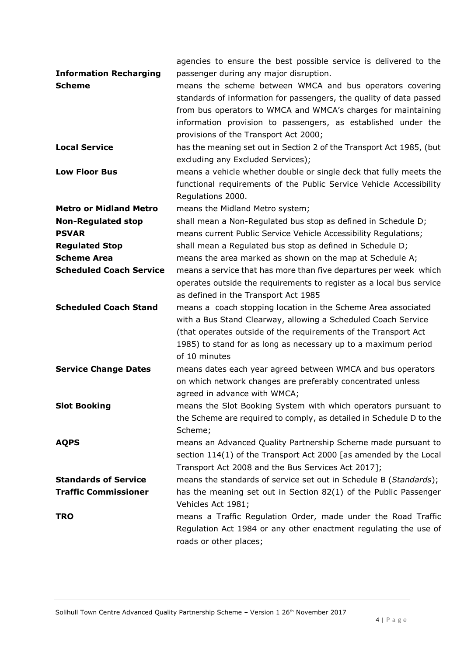|                                | agencies to ensure the best possible service is delivered to the     |
|--------------------------------|----------------------------------------------------------------------|
| <b>Information Recharging</b>  | passenger during any major disruption.                               |
| <b>Scheme</b>                  | means the scheme between WMCA and bus operators covering             |
|                                | standards of information for passengers, the quality of data passed  |
|                                | from bus operators to WMCA and WMCA's charges for maintaining        |
|                                | information provision to passengers, as established under the        |
|                                | provisions of the Transport Act 2000;                                |
| <b>Local Service</b>           | has the meaning set out in Section 2 of the Transport Act 1985, (but |
|                                | excluding any Excluded Services);                                    |
| <b>Low Floor Bus</b>           | means a vehicle whether double or single deck that fully meets the   |
|                                | functional requirements of the Public Service Vehicle Accessibility  |
|                                | Regulations 2000.                                                    |
| <b>Metro or Midland Metro</b>  | means the Midland Metro system;                                      |
| <b>Non-Regulated stop</b>      | shall mean a Non-Regulated bus stop as defined in Schedule D;        |
| <b>PSVAR</b>                   | means current Public Service Vehicle Accessibility Regulations;      |
| <b>Regulated Stop</b>          | shall mean a Regulated bus stop as defined in Schedule D;            |
| <b>Scheme Area</b>             | means the area marked as shown on the map at Schedule A;             |
| <b>Scheduled Coach Service</b> | means a service that has more than five departures per week which    |
|                                | operates outside the requirements to register as a local bus service |
|                                | as defined in the Transport Act 1985                                 |
| <b>Scheduled Coach Stand</b>   | means a coach stopping location in the Scheme Area associated        |
|                                | with a Bus Stand Clearway, allowing a Scheduled Coach Service        |
|                                | (that operates outside of the requirements of the Transport Act      |
|                                | 1985) to stand for as long as necessary up to a maximum period       |
|                                | of 10 minutes                                                        |
| <b>Service Change Dates</b>    | means dates each year agreed between WMCA and bus operators          |
|                                | on which network changes are preferably concentrated unless          |
|                                | agreed in advance with WMCA;                                         |
| <b>Slot Booking</b>            | means the Slot Booking System with which operators pursuant to       |
|                                | the Scheme are required to comply, as detailed in Schedule D to the  |
|                                | Scheme;                                                              |
| <b>AQPS</b>                    | means an Advanced Quality Partnership Scheme made pursuant to        |
|                                | section 114(1) of the Transport Act 2000 [as amended by the Local    |
|                                | Transport Act 2008 and the Bus Services Act 2017];                   |
| <b>Standards of Service</b>    | means the standards of service set out in Schedule B (Standards);    |
| <b>Traffic Commissioner</b>    | has the meaning set out in Section 82(1) of the Public Passenger     |
|                                | Vehicles Act 1981;                                                   |
| <b>TRO</b>                     | means a Traffic Regulation Order, made under the Road Traffic        |
|                                | Regulation Act 1984 or any other enactment regulating the use of     |
|                                | roads or other places;                                               |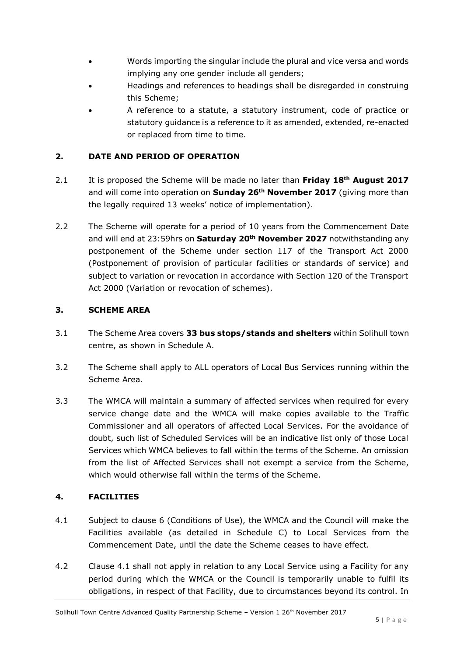- Words importing the singular include the plural and vice versa and words implying any one gender include all genders;
- Headings and references to headings shall be disregarded in construing this Scheme;
- A reference to a statute, a statutory instrument, code of practice or statutory guidance is a reference to it as amended, extended, re-enacted or replaced from time to time.

#### **2. DATE AND PERIOD OF OPERATION**

- 2.1 It is proposed the Scheme will be made no later than **Friday 18th August 2017** and will come into operation on **Sunday 26th November 2017** (giving more than the legally required 13 weeks' notice of implementation).
- 2.2 The Scheme will operate for a period of 10 years from the Commencement Date and will end at 23:59hrs on **Saturday 20th November 2027** notwithstanding any postponement of the Scheme under section 117 of the Transport Act 2000 (Postponement of provision of particular facilities or standards of service) and subject to variation or revocation in accordance with Section 120 of the Transport Act 2000 (Variation or revocation of schemes).

#### **3. SCHEME AREA**

- 3.1 The Scheme Area covers **33 bus stops/stands and shelters** within Solihull town centre, as shown in Schedule A.
- 3.2 The Scheme shall apply to ALL operators of Local Bus Services running within the Scheme Area.
- 3.3 The WMCA will maintain a summary of affected services when required for every service change date and the WMCA will make copies available to the Traffic Commissioner and all operators of affected Local Services. For the avoidance of doubt, such list of Scheduled Services will be an indicative list only of those Local Services which WMCA believes to fall within the terms of the Scheme. An omission from the list of Affected Services shall not exempt a service from the Scheme, which would otherwise fall within the terms of the Scheme.

#### **4. FACILITIES**

- <span id="page-4-0"></span>4.1 Subject to clause 6 (Conditions of Use), the WMCA and the Council will make the Facilities available (as detailed in Schedule C) to Local Services from the Commencement Date, until the date the Scheme ceases to have effect.
- 4.2 Clause [4.1](#page-4-0) shall not apply in relation to any Local Service using a Facility for any period during which the WMCA or the Council is temporarily unable to fulfil its obligations, in respect of that Facility, due to circumstances beyond its control. In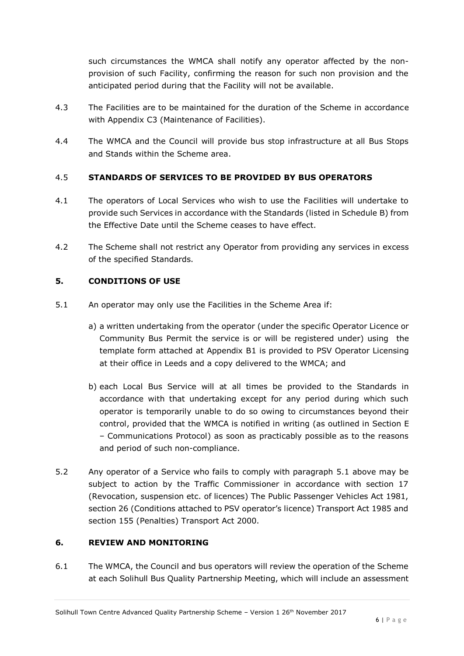such circumstances the WMCA shall notify any operator affected by the nonprovision of such Facility, confirming the reason for such non provision and the anticipated period during that the Facility will not be available.

- 4.3 The Facilities are to be maintained for the duration of the Scheme in accordance with Appendix C3 (Maintenance of Facilities).
- 4.4 The WMCA and the Council will provide bus stop infrastructure at all Bus Stops and Stands within the Scheme area.

#### 4.5 **STANDARDS OF SERVICES TO BE PROVIDED BY BUS OPERATORS**

- 4.1 The operators of Local Services who wish to use the Facilities will undertake to provide such Services in accordance with the Standards (listed in Schedule B) from the Effective Date until the Scheme ceases to have effect.
- 4.2 The Scheme shall not restrict any Operator from providing any services in excess of the specified Standards.

#### **5. CONDITIONS OF USE**

- <span id="page-5-0"></span>5.1 An operator may only use the Facilities in the Scheme Area if:
	- a) a written undertaking from the operator (under the specific Operator Licence or Community Bus Permit the service is or will be registered under) using the template form attached at Appendix B1 is provided to PSV Operator Licensing at their office in Leeds and a copy delivered to the WMCA; and
	- b) each Local Bus Service will at all times be provided to the Standards in accordance with that undertaking except for any period during which such operator is temporarily unable to do so owing to circumstances beyond their control, provided that the WMCA is notified in writing (as outlined in Section E – Communications Protocol) as soon as practicably possible as to the reasons and period of such non-compliance.
- 5.2 Any operator of a Service who fails to comply with paragraph [5.1](#page-5-0) above may be subject to action by the Traffic Commissioner in accordance with section 17 (Revocation, suspension etc. of licences) The Public Passenger Vehicles Act 1981, section 26 (Conditions attached to PSV operator's licence) Transport Act 1985 and section 155 (Penalties) Transport Act 2000.

#### **6. REVIEW AND MONITORING**

6.1 The WMCA, the Council and bus operators will review the operation of the Scheme at each Solihull Bus Quality Partnership Meeting, which will include an assessment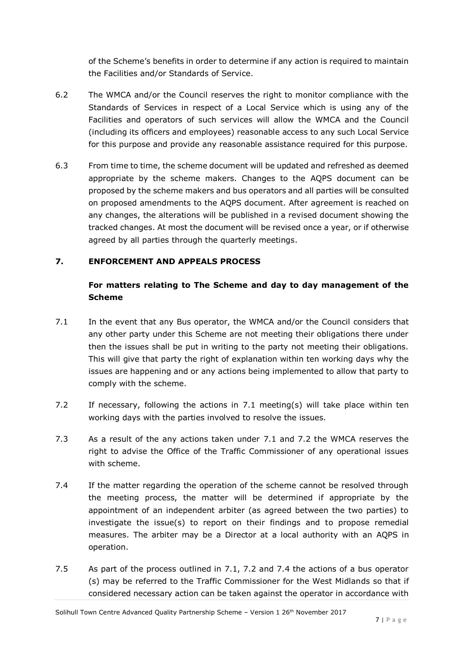of the Scheme's benefits in order to determine if any action is required to maintain the Facilities and/or Standards of Service.

- 6.2 The WMCA and/or the Council reserves the right to monitor compliance with the Standards of Services in respect of a Local Service which is using any of the Facilities and operators of such services will allow the WMCA and the Council (including its officers and employees) reasonable access to any such Local Service for this purpose and provide any reasonable assistance required for this purpose.
- 6.3 From time to time, the scheme document will be updated and refreshed as deemed appropriate by the scheme makers. Changes to the AQPS document can be proposed by the scheme makers and bus operators and all parties will be consulted on proposed amendments to the AQPS document. After agreement is reached on any changes, the alterations will be published in a revised document showing the tracked changes. At most the document will be revised once a year, or if otherwise agreed by all parties through the quarterly meetings.

#### <span id="page-6-0"></span>**7. ENFORCEMENT AND APPEALS PROCESS**

#### **For matters relating to The Scheme and day to day management of the Scheme**

- 7.1 In the event that any Bus operator, the WMCA and/or the Council considers that any other party under this Scheme are not meeting their obligations there under then the issues shall be put in writing to the party not meeting their obligations. This will give that party the right of explanation within ten working days why the issues are happening and or any actions being implemented to allow that party to comply with the scheme.
- 7.2 If necessary, following the actions in 7.1 meeting(s) will take place within ten working days with the parties involved to resolve the issues.
- 7.3 As a result of the any actions taken under 7.1 and 7.2 the WMCA reserves the right to advise the Office of the Traffic Commissioner of any operational issues with scheme.
- 7.4 If the matter regarding the operation of the scheme cannot be resolved through the meeting process, the matter will be determined if appropriate by the appointment of an independent arbiter (as agreed between the two parties) to investigate the issue(s) to report on their findings and to propose remedial measures. The arbiter may be a Director at a local authority with an AQPS in operation.
- 7.5 As part of the process outlined in 7.1, 7.2 and 7.4 the actions of a bus operator (s) may be referred to the Traffic Commissioner for the West Midlands so that if considered necessary action can be taken against the operator in accordance with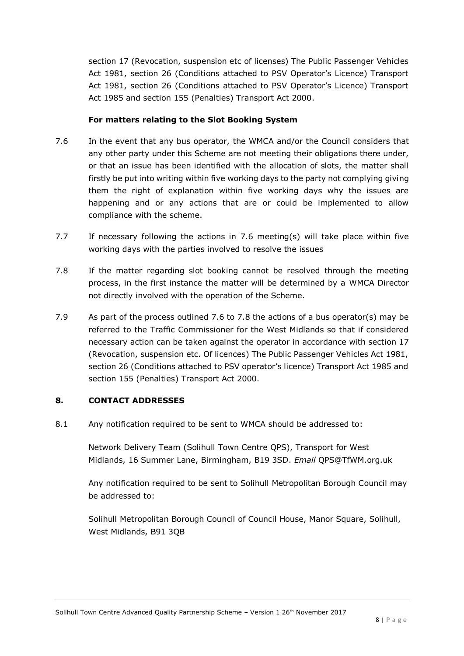section 17 (Revocation, suspension etc of licenses) The Public Passenger Vehicles Act 1981, section 26 (Conditions attached to PSV Operator's Licence) Transport Act 1981, section 26 (Conditions attached to PSV Operator's Licence) Transport Act 1985 and section 155 (Penalties) Transport Act 2000.

#### **For matters relating to the Slot Booking System**

- 7.6 In the event that any bus operator, the WMCA and/or the Council considers that any other party under this Scheme are not meeting their obligations there under, or that an issue has been identified with the allocation of slots, the matter shall firstly be put into writing within five working days to the party not complying giving them the right of explanation within five working days why the issues are happening and or any actions that are or could be implemented to allow compliance with the scheme.
- 7.7 If necessary following the actions in 7.6 meeting(s) will take place within five working days with the parties involved to resolve the issues
- 7.8 If the matter regarding slot booking cannot be resolved through the meeting process, in the first instance the matter will be determined by a WMCA Director not directly involved with the operation of the Scheme.
- 7.9 As part of the process outlined 7.6 to 7.8 the actions of a bus operator(s) may be referred to the Traffic Commissioner for the West Midlands so that if considered necessary action can be taken against the operator in accordance with section 17 (Revocation, suspension etc. Of licences) The Public Passenger Vehicles Act 1981, section 26 (Conditions attached to PSV operator's licence) Transport Act 1985 and section 155 (Penalties) Transport Act 2000.

#### **8. CONTACT ADDRESSES**

8.1 Any notification required to be sent to WMCA should be addressed to:

Network Delivery Team (Solihull Town Centre QPS), Transport for West Midlands, 16 Summer Lane, Birmingham, B19 3SD. *Email* [QPS@TfWM.org.uk](mailto:QPS@TfWM.org.uk)

<span id="page-7-0"></span>Any notification required to be sent to Solihull Metropolitan Borough Council may be addressed to:

Solihull Metropolitan Borough Council of Council House, Manor Square, Solihull, West Midlands, B91 3QB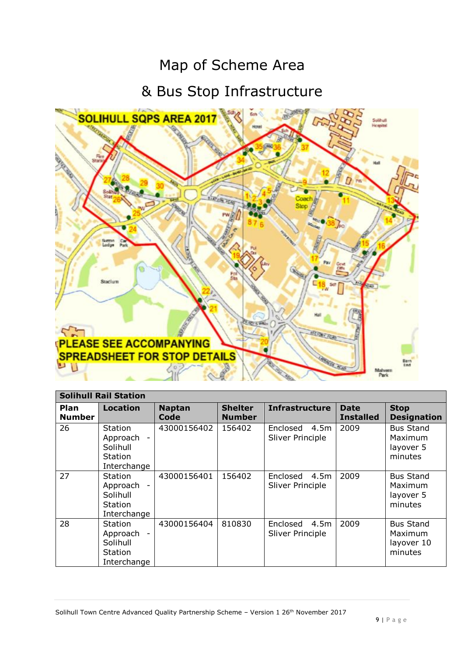

| <b>Solihull Rail Station</b> |                                                                           |                              |                                 |                                      |                                 |                                                      |
|------------------------------|---------------------------------------------------------------------------|------------------------------|---------------------------------|--------------------------------------|---------------------------------|------------------------------------------------------|
| <b>Plan</b><br><b>Number</b> | <b>Location</b>                                                           | <b>Naptan</b><br><b>Code</b> | <b>Shelter</b><br><b>Number</b> | <b>Infrastructure</b>                | <b>Date</b><br><b>Installed</b> | <b>Stop</b><br><b>Designation</b>                    |
| 26                           | <b>Station</b><br>Approach -<br>Solihull<br><b>Station</b><br>Interchange | 43000156402                  | 156402                          | Enclosed<br>4.5m<br>Sliver Principle | 2009                            | <b>Bus Stand</b><br>Maximum<br>layover 5<br>minutes  |
| 27                           | <b>Station</b><br>Approach -<br>Solihull<br><b>Station</b><br>Interchange | 43000156401                  | 156402                          | Enclosed<br>4.5m<br>Sliver Principle | 2009                            | <b>Bus Stand</b><br>Maximum<br>layover 5<br>minutes  |
| 28                           | <b>Station</b><br>Approach -<br>Solihull<br><b>Station</b><br>Interchange | 43000156404                  | 810830                          | Enclosed<br>4.5m<br>Sliver Principle | 2009                            | <b>Bus Stand</b><br>Maximum<br>layover 10<br>minutes |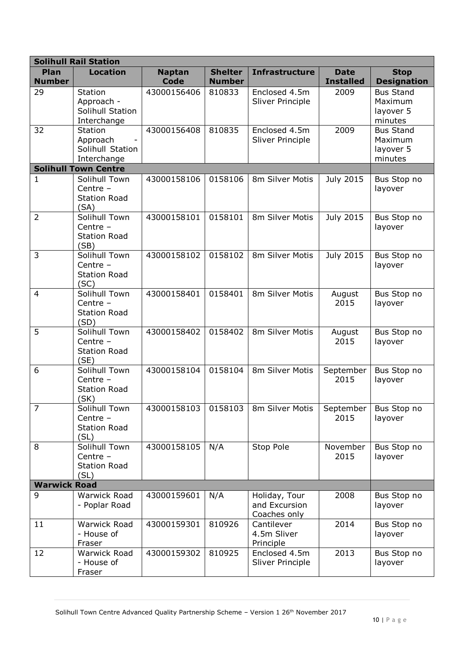| <b>Solihull Rail Station</b> |                                                          |                              |                                 |                                                |                                 |                                                     |
|------------------------------|----------------------------------------------------------|------------------------------|---------------------------------|------------------------------------------------|---------------------------------|-----------------------------------------------------|
| Plan<br><b>Number</b>        | <b>Location</b>                                          | <b>Naptan</b><br><b>Code</b> | <b>Shelter</b><br><b>Number</b> | <b>Infrastructure</b>                          | <b>Date</b><br><b>Installed</b> | <b>Stop</b><br><b>Designation</b>                   |
| 29                           | Station<br>Approach -<br>Solihull Station<br>Interchange | 43000156406                  | 810833                          | Enclosed 4.5m<br>Sliver Principle              | 2009                            | <b>Bus Stand</b><br>Maximum<br>layover 5<br>minutes |
| 32                           | Station<br>Approach<br>Solihull Station<br>Interchange   | 43000156408                  | 810835                          | Enclosed 4.5m<br>Sliver Principle              | 2009                            | <b>Bus Stand</b><br>Maximum<br>layover 5<br>minutes |
|                              | <b>Solihull Town Centre</b>                              |                              |                                 |                                                |                                 |                                                     |
| $\mathbf{1}$                 | Solihull Town<br>Centre -<br><b>Station Road</b><br>(SA) | 43000158106                  | 0158106                         | 8m Silver Motis                                | July 2015                       | Bus Stop no<br>layover                              |
| $\overline{2}$               | Solihull Town<br>Centre -<br><b>Station Road</b><br>(SB) | 43000158101                  | 0158101                         | 8m Silver Motis                                | <b>July 2015</b>                | Bus Stop no<br>layover                              |
| 3                            | Solihull Town<br>Centre -<br><b>Station Road</b><br>(SC) | 43000158102                  | 0158102                         | 8m Silver Motis                                | July 2015                       | Bus Stop no<br>layover                              |
| 4                            | Solihull Town<br>Centre -<br><b>Station Road</b><br>(SD) | 43000158401                  | 0158401                         | 8m Silver Motis                                | August<br>2015                  | Bus Stop no<br>layover                              |
| 5                            | Solihull Town<br>Centre -<br><b>Station Road</b><br>(SE) | 43000158402                  | 0158402                         | 8m Silver Motis                                | August<br>2015                  | Bus Stop no<br>layover                              |
| 6                            | Solihull Town<br>Centre -<br><b>Station Road</b><br>(SK) | 43000158104                  | 0158104                         | 8m Silver Motis                                | September<br>2015               | Bus Stop no<br>layover                              |
|                              | Solihull Town<br>Centre -<br><b>Station Road</b><br>(SL) | 43000158103                  | 0158103                         | 8m Silver Motis                                | September<br>2015               | Bus Stop no<br>layover                              |
| 8                            | Solihull Town<br>Centre -<br><b>Station Road</b><br>(SL) | 43000158105                  | N/A                             | Stop Pole                                      | November<br>2015                | Bus Stop no<br>layover                              |
| <b>Warwick Road</b>          |                                                          |                              |                                 |                                                |                                 |                                                     |
| 9                            | <b>Warwick Road</b><br>- Poplar Road                     | 43000159601                  | N/A                             | Holiday, Tour<br>and Excursion<br>Coaches only | 2008                            | Bus Stop no<br>layover                              |
| 11                           | Warwick Road<br>- House of<br>Fraser                     | 43000159301                  | 810926                          | Cantilever<br>4.5m Sliver<br>Principle         | 2014                            | Bus Stop no<br>layover                              |
| 12                           | Warwick Road<br>- House of<br>Fraser                     | 43000159302                  | 810925                          | Enclosed 4.5m<br>Sliver Principle              | 2013                            | Bus Stop no<br>layover                              |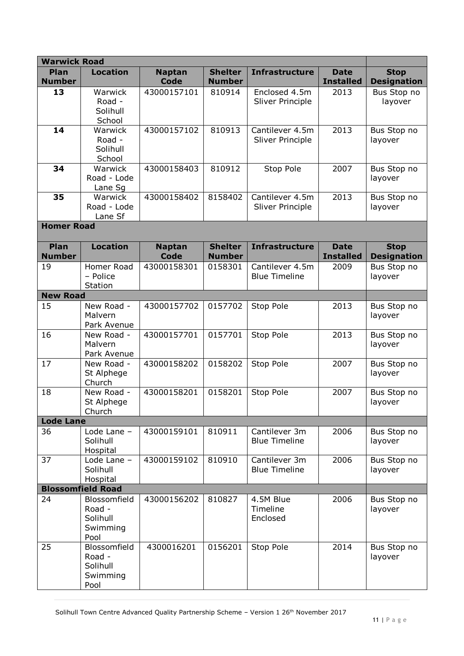| <b>Warwick Road</b>      |                                                        |                              |                                 |                                         |                                 |                                   |
|--------------------------|--------------------------------------------------------|------------------------------|---------------------------------|-----------------------------------------|---------------------------------|-----------------------------------|
| Plan<br><b>Number</b>    | <b>Location</b>                                        | <b>Naptan</b><br><b>Code</b> | <b>Shelter</b><br><b>Number</b> | <b>Infrastructure</b>                   | <b>Date</b><br><b>Installed</b> | <b>Stop</b><br><b>Designation</b> |
| 13                       | Warwick<br>Road -<br>Solihull<br>School                | 43000157101                  | 810914                          | Enclosed 4.5m<br>Sliver Principle       | 2013                            | Bus Stop no<br>layover            |
| 14                       | Warwick<br>Road -<br>Solihull<br>School                | 43000157102                  | 810913                          | Cantilever 4.5m<br>Sliver Principle     | 2013                            | Bus Stop no<br>layover            |
| 34                       | Warwick<br>Road - Lode<br>Lane Sg                      | 43000158403                  | 810912                          | Stop Pole                               | 2007                            | Bus Stop no<br>layover            |
| 35                       | Warwick<br>Road - Lode<br>Lane Sf                      | 43000158402                  | 8158402                         | Cantilever 4.5m<br>Sliver Principle     | 2013                            | Bus Stop no<br>layover            |
| <b>Homer Road</b>        |                                                        |                              |                                 |                                         |                                 |                                   |
| Plan<br><b>Number</b>    | <b>Location</b>                                        | <b>Naptan</b><br><b>Code</b> | <b>Shelter</b><br><b>Number</b> | <b>Infrastructure</b>                   | <b>Date</b><br><b>Installed</b> | <b>Stop</b><br><b>Designation</b> |
| 19                       | Homer Road<br>- Police<br>Station                      | 43000158301                  | 0158301                         | Cantilever 4.5m<br><b>Blue Timeline</b> | 2009                            | Bus Stop no<br>layover            |
| <b>New Road</b>          |                                                        |                              |                                 |                                         |                                 |                                   |
| 15                       | New Road -<br>Malvern<br>Park Avenue                   | 43000157702                  | 0157702                         | Stop Pole                               | 2013                            | Bus Stop no<br>layover            |
| 16                       | New Road -<br>Malvern<br>Park Avenue                   | 43000157701                  | 0157701                         | Stop Pole                               | 2013                            | Bus Stop no<br>layover            |
| 17                       | New Road -<br>St Alphege<br>Church                     | 43000158202                  | 0158202                         | Stop Pole                               | 2007                            | Bus Stop no<br>layover            |
| 18                       | New Road -<br>St Alphege<br>Church                     | 43000158201                  | 0158201                         | Stop Pole                               | 2007                            | Bus Stop no<br>layover            |
| <b>Lode Lane</b>         |                                                        |                              |                                 |                                         |                                 |                                   |
| 36                       | Lode Lane -<br>Solihull<br>Hospital                    | 43000159101                  | 810911                          | Cantilever 3m<br><b>Blue Timeline</b>   | 2006                            | Bus Stop no<br>layover            |
| 37                       | Lode Lane -<br>Solihull<br>Hospital                    | 43000159102                  | 810910                          | Cantilever 3m<br><b>Blue Timeline</b>   | 2006                            | Bus Stop no<br>layover            |
| <b>Blossomfield Road</b> |                                                        |                              |                                 |                                         |                                 |                                   |
| 24                       | Blossomfield<br>Road -<br>Solihull<br>Swimming<br>Pool | 43000156202                  | 810827                          | 4.5M Blue<br>Timeline<br>Enclosed       | 2006                            | Bus Stop no<br>layover            |
| 25                       | Blossomfield<br>Road -<br>Solihull<br>Swimming<br>Pool | 4300016201                   | 0156201                         | Stop Pole                               | 2014                            | Bus Stop no<br>layover            |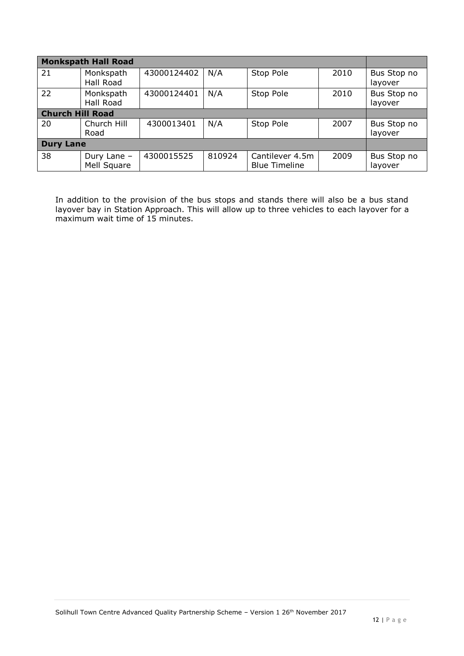|                         | <b>Monkspath Hall Road</b> |             |        |                                         |      |                        |
|-------------------------|----------------------------|-------------|--------|-----------------------------------------|------|------------------------|
| 21                      | Monkspath<br>Hall Road     | 43000124402 | N/A    | Stop Pole                               | 2010 | Bus Stop no<br>layover |
| 22                      | Monkspath<br>Hall Road     | 43000124401 | N/A    | Stop Pole                               | 2010 | Bus Stop no<br>layover |
| <b>Church Hill Road</b> |                            |             |        |                                         |      |                        |
| 20                      | Church Hill<br>Road        | 4300013401  | N/A    | Stop Pole                               | 2007 | Bus Stop no<br>layover |
| <b>Dury Lane</b>        |                            |             |        |                                         |      |                        |
| 38                      | Dury Lane -<br>Mell Square | 4300015525  | 810924 | Cantilever 4.5m<br><b>Blue Timeline</b> | 2009 | Bus Stop no<br>layover |

In addition to the provision of the bus stops and stands there will also be a bus stand layover bay in Station Approach. This will allow up to three vehicles to each layover for a maximum wait time of 15 minutes.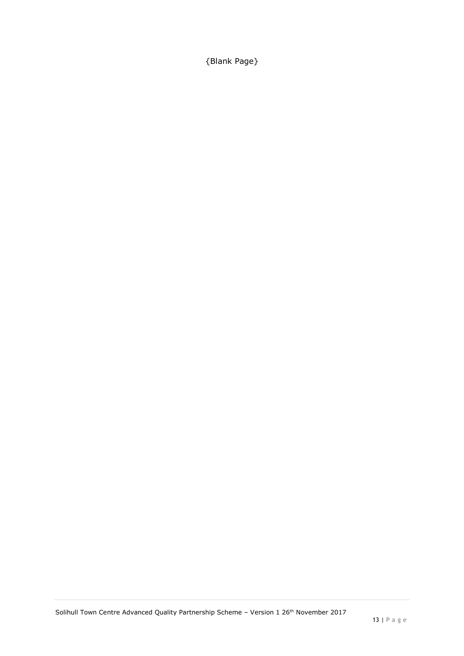{Blank Page}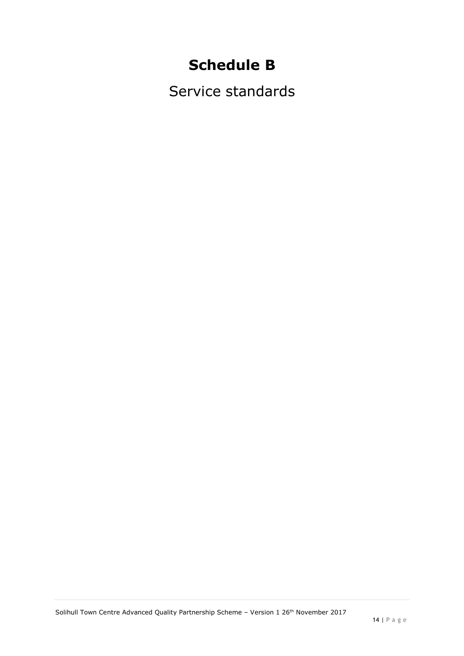### **Schedule B**

Service standards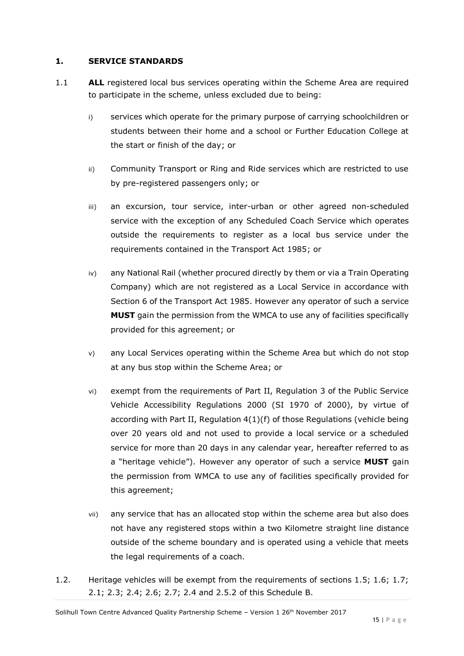#### **1. SERVICE STANDARDS**

- 1.1 **ALL** registered local bus services operating within the Scheme Area are required to participate in the scheme, unless excluded due to being:
	- i) services which operate for the primary purpose of carrying schoolchildren or students between their home and a school or Further Education College at the start or finish of the day; or
	- ii) Community Transport or Ring and Ride services which are restricted to use by pre-registered passengers only; or
	- iii) an excursion, tour service, inter-urban or other agreed non-scheduled service with the exception of any Scheduled Coach Service which operates outside the requirements to register as a local bus service under the requirements contained in the Transport Act 1985; or
	- iv) any National Rail (whether procured directly by them or via a Train Operating Company) which are not registered as a Local Service in accordance with Section 6 of the Transport Act 1985. However any operator of such a service **MUST** gain the permission from the WMCA to use any of facilities specifically provided for this agreement; or
	- v) any Local Services operating within the Scheme Area but which do not stop at any bus stop within the Scheme Area; or
	- vi) exempt from the requirements of Part II, Regulation 3 of the Public Service Vehicle Accessibility Regulations 2000 (SI 1970 of 2000), by virtue of according with Part II, Regulation 4(1)(f) of those Regulations (vehicle being over 20 years old and not used to provide a local service or a scheduled service for more than 20 days in any calendar year, hereafter referred to as a "heritage vehicle"). However any operator of such a service **MUST** gain the permission from WMCA to use any of facilities specifically provided for this agreement;
	- vii) any service that has an allocated stop within the scheme area but also does not have any registered stops within a two Kilometre straight line distance outside of the scheme boundary and is operated using a vehicle that meets the legal requirements of a coach.
- 1.2. Heritage vehicles will be exempt from the requirements of sections [1.5;](#page-15-0) [1.6;](#page-15-1) [1.7;](#page-15-2) [2.1;](#page-15-3) [2.3;](#page-16-0) [2.4;](#page-16-1) [2.6;](#page-16-2) [2.7;](#page-17-0) [2.4](#page-18-0) and [2.5.2](#page-18-1) of this Schedule B.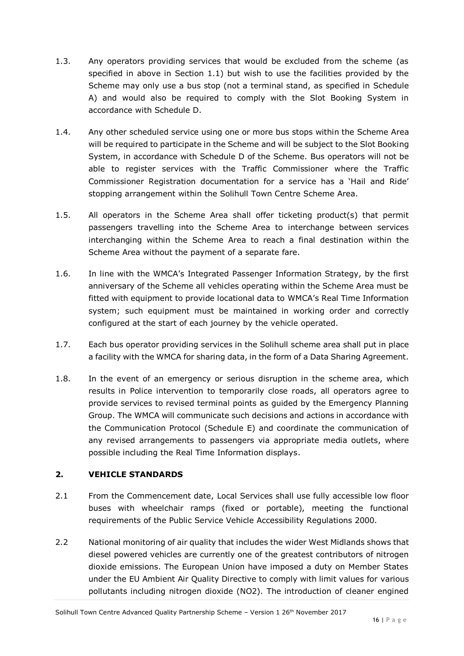- 1.3. Any operators providing services that would be excluded from the scheme (as specified in above in Section 1.1) but wish to use the facilities provided by the Scheme may only use a bus stop (not a terminal stand, as specified in Schedule A) and would also be required to comply with the Slot Booking System in accordance with Schedule D.
- 1.4. Any other scheduled service using one or more bus stops within the Scheme Area will be required to participate in the Scheme and will be subject to the Slot Booking System, in accordance with Schedule D of the Scheme. Bus operators will not be able to register services with the Traffic Commissioner where the Traffic Commissioner Registration documentation for a service has a 'Hail and Ride' stopping arrangement within the Solihull Town Centre Scheme Area.
- <span id="page-15-0"></span>1.5. All operators in the Scheme Area shall offer ticketing product(s) that permit passengers travelling into the Scheme Area to interchange between services interchanging within the Scheme Area to reach a final destination within the Scheme Area without the payment of a separate fare.
- <span id="page-15-1"></span>1.6. In line with the WMCA's Integrated Passenger Information Strategy, by the first anniversary of the Scheme all vehicles operating within the Scheme Area must be fitted with equipment to provide locational data to WMCA's Real Time Information system; such equipment must be maintained in working order and correctly configured at the start of each journey by the vehicle operated.
- <span id="page-15-2"></span>1.7. Each bus operator providing services in the Solihull scheme area shall put in place a facility with the WMCA for sharing data, in the form of a Data Sharing Agreement.
- 1.8. In the event of an emergency or serious disruption in the scheme area, which results in Police intervention to temporarily close roads, all operators agree to provide services to revised terminal points as guided by the Emergency Planning Group. The WMCA will communicate such decisions and actions in accordance with the Communication Protocol (Schedule E) and coordinate the communication of any revised arrangements to passengers via appropriate media outlets, where possible including the Real Time Information displays.

#### **2. VEHICLE STANDARDS**

- <span id="page-15-3"></span>2.1 From the Commencement date, Local Services shall use fully accessible low floor buses with wheelchair ramps (fixed or portable), meeting the functional requirements of the Public Service Vehicle Accessibility Regulations 2000.
- 2.2 National monitoring of air quality that includes the wider West Midlands shows that diesel powered vehicles are currently one of the greatest contributors of nitrogen dioxide emissions. The European Union have imposed a duty on Member States under the EU Ambient Air Quality Directive to comply with limit values for various pollutants including nitrogen dioxide (NO2). The introduction of cleaner engined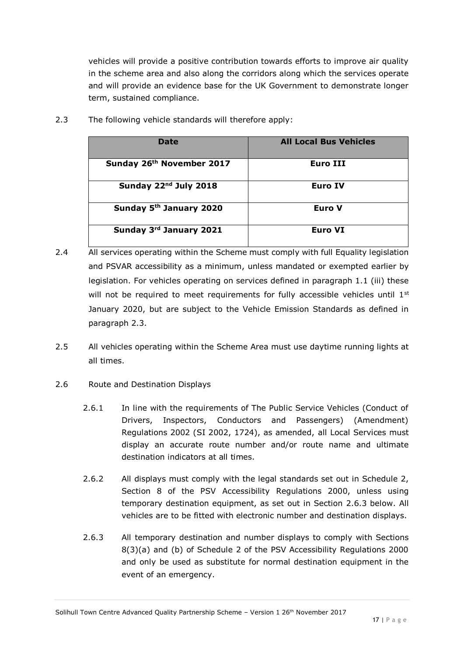vehicles will provide a positive contribution towards efforts to improve air quality in the scheme area and also along the corridors along which the services operate and will provide an evidence base for the UK Government to demonstrate longer term, sustained compliance.

| Date                              | <b>All Local Bus Vehicles</b> |
|-----------------------------------|-------------------------------|
| Sunday 26th November 2017         | <b>Euro III</b>               |
| Sunday 22 <sup>nd</sup> July 2018 | <b>Euro IV</b>                |
| Sunday 5th January 2020           | <b>Euro V</b>                 |
| Sunday 3rd January 2021           | Euro VI                       |

<span id="page-16-0"></span>2.3 The following vehicle standards will therefore apply:

- <span id="page-16-1"></span>2.4 All services operating within the Scheme must comply with full Equality legislation and PSVAR accessibility as a minimum, unless mandated or exempted earlier by legislation. For vehicles operating on services defined in paragraph 1.1 (iii) these will not be required to meet requirements for fully accessible vehicles until 1<sup>st</sup> January 2020, but are subject to the Vehicle Emission Standards as defined in paragraph 2.3.
- 2.5 All vehicles operating within the Scheme Area must use daytime running lights at all times.
- <span id="page-16-2"></span>2.6 Route and Destination Displays
	- 2.6.1 In line with the requirements of The Public Service Vehicles (Conduct of Drivers, Inspectors, Conductors and Passengers) (Amendment) Regulations 2002 (SI 2002, 1724), as amended, all Local Services must display an accurate route number and/or route name and ultimate destination indicators at all times.
	- 2.6.2 All displays must comply with the legal standards set out in Schedule 2, Section 8 of the PSV Accessibility Regulations 2000, unless using temporary destination equipment, as set out in Section 2.6.3 below. All vehicles are to be fitted with electronic number and destination displays.
	- 2.6.3 All temporary destination and number displays to comply with Sections 8(3)(a) and (b) of Schedule 2 of the PSV Accessibility Regulations 2000 and only be used as substitute for normal destination equipment in the event of an emergency.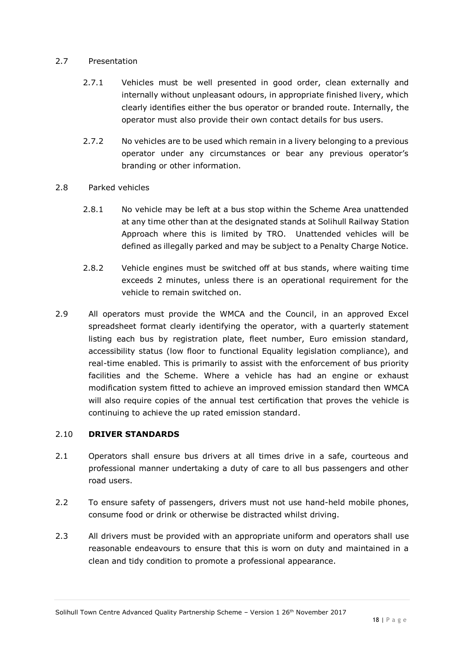#### <span id="page-17-0"></span>2.7 Presentation

- 2.7.1 Vehicles must be well presented in good order, clean externally and internally without unpleasant odours, in appropriate finished livery, which clearly identifies either the bus operator or branded route. Internally, the operator must also provide their own contact details for bus users.
- 2.7.2 No vehicles are to be used which remain in a livery belonging to a previous operator under any circumstances or bear any previous operator's branding or other information.
- 2.8 Parked vehicles
	- 2.8.1 No vehicle may be left at a bus stop within the Scheme Area unattended at any time other than at the designated stands at Solihull Railway Station Approach where this is limited by TRO. Unattended vehicles will be defined as illegally parked and may be subject to a Penalty Charge Notice.
	- 2.8.2 Vehicle engines must be switched off at bus stands, where waiting time exceeds 2 minutes, unless there is an operational requirement for the vehicle to remain switched on.
- 2.9 All operators must provide the WMCA and the Council, in an approved Excel spreadsheet format clearly identifying the operator, with a quarterly statement listing each bus by registration plate, fleet number, Euro emission standard, accessibility status (low floor to functional Equality legislation compliance), and real-time enabled. This is primarily to assist with the enforcement of bus priority facilities and the Scheme. Where a vehicle has had an engine or exhaust modification system fitted to achieve an improved emission standard then WMCA will also require copies of the annual test certification that proves the vehicle is continuing to achieve the up rated emission standard.

#### 2.10 **DRIVER STANDARDS**

- 2.1 Operators shall ensure bus drivers at all times drive in a safe, courteous and professional manner undertaking a duty of care to all bus passengers and other road users.
- 2.2 To ensure safety of passengers, drivers must not use hand-held mobile phones, consume food or drink or otherwise be distracted whilst driving.
- 2.3 All drivers must be provided with an appropriate uniform and operators shall use reasonable endeavours to ensure that this is worn on duty and maintained in a clean and tidy condition to promote a professional appearance.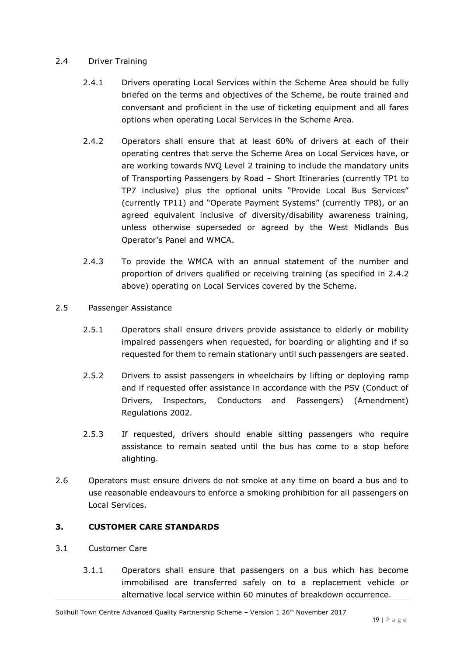#### <span id="page-18-0"></span>2.4 Driver Training

- 2.4.1 Drivers operating Local Services within the Scheme Area should be fully briefed on the terms and objectives of the Scheme, be route trained and conversant and proficient in the use of ticketing equipment and all fares options when operating Local Services in the Scheme Area.
- 2.4.2 Operators shall ensure that at least 60% of drivers at each of their operating centres that serve the Scheme Area on Local Services have, or are working towards NVQ Level 2 training to include the mandatory units of Transporting Passengers by Road – Short Itineraries (currently TP1 to TP7 inclusive) plus the optional units "Provide Local Bus Services" (currently TP11) and "Operate Payment Systems" (currently TP8), or an agreed equivalent inclusive of diversity/disability awareness training, unless otherwise superseded or agreed by the West Midlands Bus Operator's Panel and WMCA.
- 2.4.3 To provide the WMCA with an annual statement of the number and proportion of drivers qualified or receiving training (as specified in 2.4.2 above) operating on Local Services covered by the Scheme.
- <span id="page-18-1"></span>2.5 Passenger Assistance
	- 2.5.1 Operators shall ensure drivers provide assistance to elderly or mobility impaired passengers when requested, for boarding or alighting and if so requested for them to remain stationary until such passengers are seated.
	- 2.5.2 Drivers to assist passengers in wheelchairs by lifting or deploying ramp and if requested offer assistance in accordance with the PSV (Conduct of Drivers, Inspectors, Conductors and Passengers) (Amendment) Regulations 2002.
	- 2.5.3 If requested, drivers should enable sitting passengers who require assistance to remain seated until the bus has come to a stop before alighting.
- 2.6 Operators must ensure drivers do not smoke at any time on board a bus and to use reasonable endeavours to enforce a smoking prohibition for all passengers on Local Services.

#### **3. CUSTOMER CARE STANDARDS**

- 3.1 Customer Care
	- 3.1.1 Operators shall ensure that passengers on a bus which has become immobilised are transferred safely on to a replacement vehicle or alternative local service within 60 minutes of breakdown occurrence.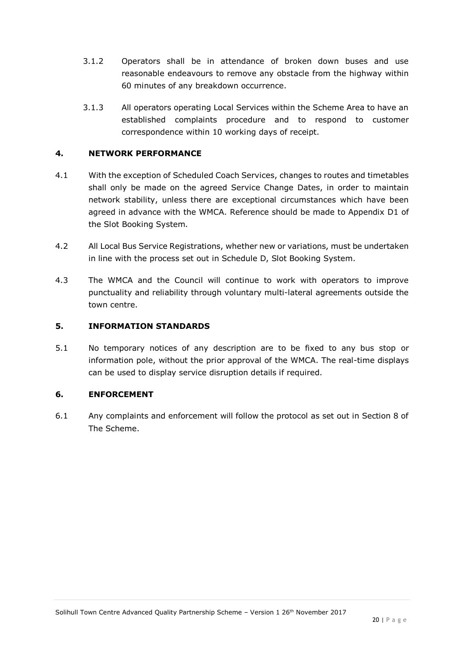- 3.1.2 Operators shall be in attendance of broken down buses and use reasonable endeavours to remove any obstacle from the highway within 60 minutes of any breakdown occurrence.
- 3.1.3 All operators operating Local Services within the Scheme Area to have an established complaints procedure and to respond to customer correspondence within 10 working days of receipt.

#### **4. NETWORK PERFORMANCE**

- 4.1 With the exception of Scheduled Coach Services, changes to routes and timetables shall only be made on the agreed Service Change Dates, in order to maintain network stability, unless there are exceptional circumstances which have been agreed in advance with the WMCA. Reference should be made to Appendix D1 of the Slot Booking System.
- 4.2 All Local Bus Service Registrations, whether new or variations, must be undertaken in line with the process set out in Schedule D, Slot Booking System.
- 4.3 The WMCA and the Council will continue to work with operators to improve punctuality and reliability through voluntary multi-lateral agreements outside the town centre.

#### **5. INFORMATION STANDARDS**

5.1 No temporary notices of any description are to be fixed to any bus stop or information pole, without the prior approval of the WMCA. The real-time displays can be used to display service disruption details if required.

#### **6. ENFORCEMENT**

6.1 Any complaints and enforcement will follow the protocol as set out in Section 8 of The Scheme.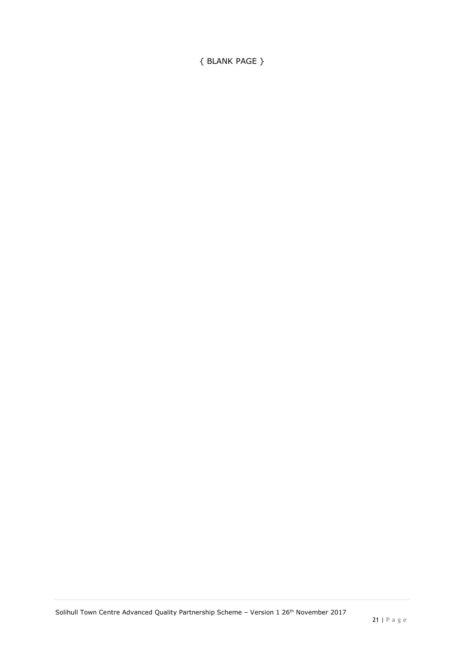#### { BLANK PAGE }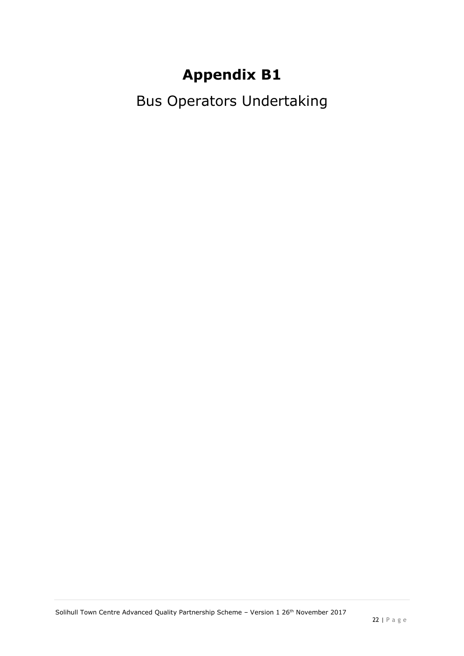### **Appendix B1**

Bus Operators Undertaking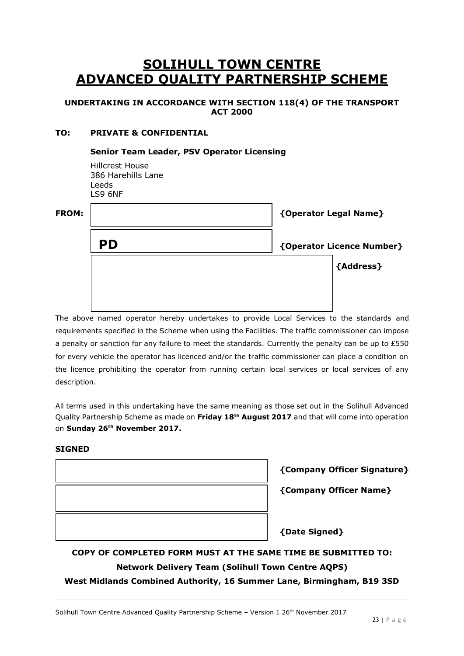#### **SOLIHULL TOWN CENTRE ADVANCED QUALITY PARTNERSHIP SCHEME**

#### **UNDERTAKING IN ACCORDANCE WITH SECTION 118(4) OF THE TRANSPORT ACT 2000**

**Senior Team Leader, PSV Operator Licensing**

#### **TO: PRIVATE & CONFIDENTIAL**

|       | <b>Hillcrest House</b><br>386 Harehills Lane<br>Leeds<br>LS9 6NF |                       |                           |
|-------|------------------------------------------------------------------|-----------------------|---------------------------|
| FROM: |                                                                  | {Operator Legal Name} |                           |
|       | <b>PD</b>                                                        |                       | {Operator Licence Number} |
|       |                                                                  |                       | {Address}                 |
|       |                                                                  |                       |                           |

The above named operator hereby undertakes to provide Local Services to the standards and requirements specified in the Scheme when using the Facilities. The traffic commissioner can impose a penalty or sanction for any failure to meet the standards. Currently the penalty can be up to £550 for every vehicle the operator has licenced and/or the traffic commissioner can place a condition on the licence prohibiting the operator from running certain local services or local services of any description.

All terms used in this undertaking have the same meaning as those set out in the Solihull Advanced Quality Partnership Scheme as made on **Friday 18th August 2017** and that will come into operation on **Sunday 26th November 2017.**

#### **SIGNED**

| {Company Officer Signature} |
|-----------------------------|
| {Company Officer Name}      |
|                             |
| {Date Signed}               |

### **COPY OF COMPLETED FORM MUST AT THE SAME TIME BE SUBMITTED TO:**

#### **Network Delivery Team (Solihull Town Centre AQPS)**

#### **West Midlands Combined Authority, 16 Summer Lane, Birmingham, B19 3SD**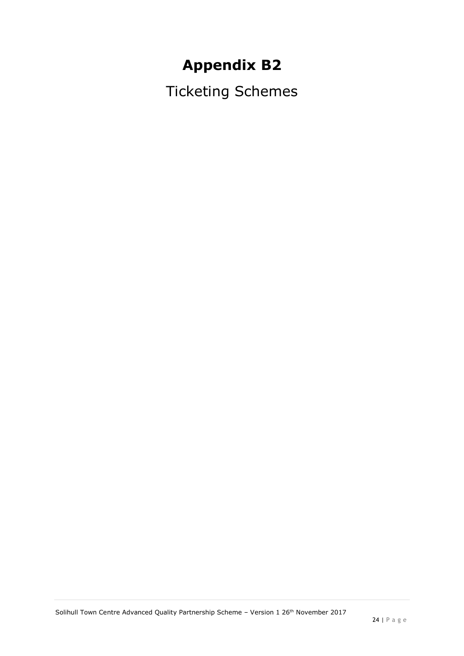### **Appendix B2**

Ticketing Schemes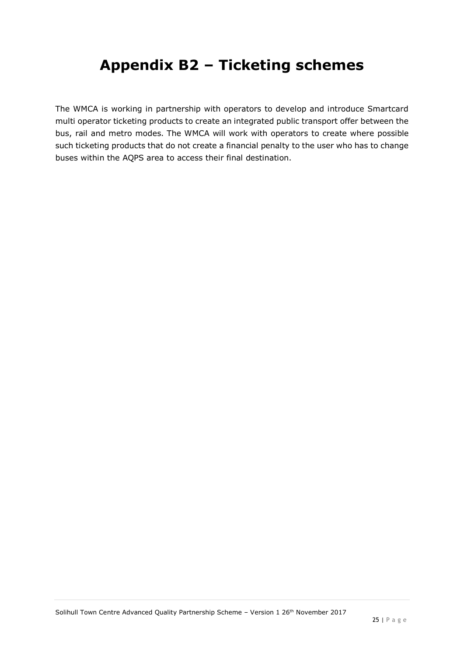### **Appendix B2 – Ticketing schemes**

The WMCA is working in partnership with operators to develop and introduce Smartcard multi operator ticketing products to create an integrated public transport offer between the bus, rail and metro modes. The WMCA will work with operators to create where possible such ticketing products that do not create a financial penalty to the user who has to change buses within the AQPS area to access their final destination.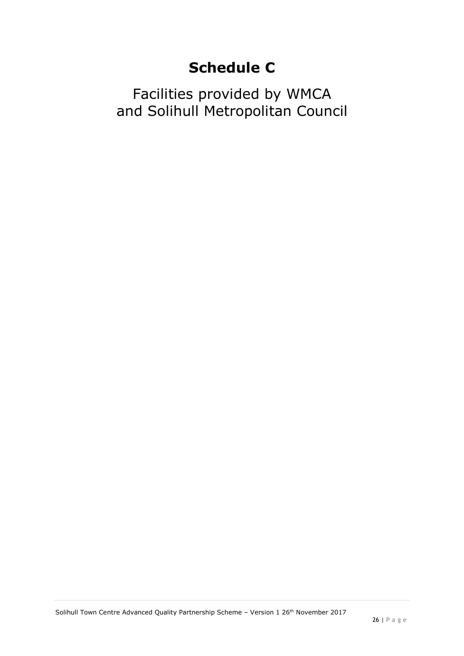### **Schedule C**

<span id="page-25-0"></span>Facilities provided by WMCA and Solihull Metropolitan Council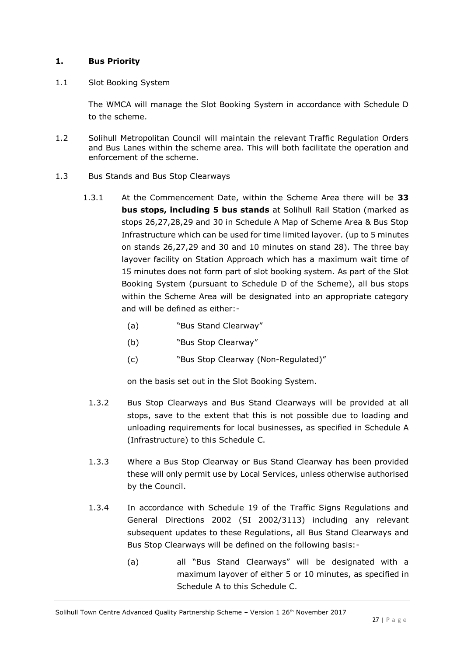#### **1. Bus Priority**

#### 1.1 Slot Booking System

The WMCA will manage the Slot Booking System in accordance with Schedule D to the scheme.

- 1.2 Solihull Metropolitan Council will maintain the relevant Traffic Regulation Orders and Bus Lanes within the scheme area. This will both facilitate the operation and enforcement of the scheme.
- 1.3 Bus Stands and Bus Stop Clearways
	- 1.3.1 At the Commencement Date, within the Scheme Area there will be **33 bus stops, including 5 bus stands** at Solihull Rail Station (marked as stops 26,27,28,29 and 30 in Schedule A Map of Scheme Area & Bus Stop Infrastructure which can be used for time limited layover. (up to 5 minutes on stands 26,27,29 and 30 and 10 minutes on stand 28). The three bay layover facility on Station Approach which has a maximum wait time of 15 minutes does not form part of slot booking system. As part of the Slot Booking System (pursuant to Schedule D of the Scheme), all bus stops within the Scheme Area will be designated into an appropriate category and will be defined as either:-
		- (a) "Bus Stand Clearway"
		- (b) "Bus Stop Clearway"
		- (c) "Bus Stop Clearway (Non-Regulated)"

on the basis set out in the Slot Booking System.

- 1.3.2 Bus Stop Clearways and Bus Stand Clearways will be provided at all stops, save to the extent that this is not possible due to loading and unloading requirements for local businesses, as specified in Schedule A (Infrastructure) to this Schedule C.
- 1.3.3 Where a Bus Stop Clearway or Bus Stand Clearway has been provided these will only permit use by Local Services, unless otherwise authorised by the Council.
- <span id="page-26-0"></span>1.3.4 In accordance with Schedule 19 of the Traffic Signs Regulations and General Directions 2002 (SI 2002/3113) including any relevant subsequent updates to these Regulations, all Bus Stand Clearways and Bus Stop Clearways will be defined on the following basis:-
	- (a) all "Bus Stand Clearways" will be designated with a maximum layover of either 5 or 10 minutes, as specified in Schedule A to this Schedule C.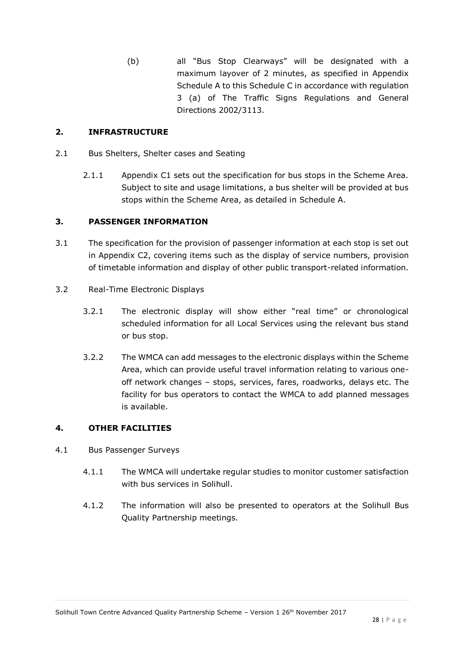(b) all "Bus Stop Clearways" will be designated with a maximum layover of 2 minutes, as specified in Appendix Schedule A to this Schedule C in accordance with regulation 3 (a) of The Traffic Signs Regulations and General Directions 2002/3113.

#### **2. INFRASTRUCTURE**

- 2.1 Bus Shelters, Shelter cases and Seating
	- 2.1.1 Appendix C1 sets out the specification for bus stops in the Scheme Area. Subject to site and usage limitations, a bus shelter will be provided at bus stops within the Scheme Area, as detailed in Schedule A.

#### **3. PASSENGER INFORMATION**

- 3.1 The specification for the provision of passenger information at each stop is set out in Appendix C2, covering items such as the display of service numbers, provision of timetable information and display of other public transport-related information.
- 3.2 Real-Time Electronic Displays
	- 3.2.1 The electronic display will show either "real time" or chronological scheduled information for all Local Services using the relevant bus stand or bus stop.
	- 3.2.2 The WMCA can add messages to the electronic displays within the Scheme Area, which can provide useful travel information relating to various oneoff network changes – stops, services, fares, roadworks, delays etc. The facility for bus operators to contact the WMCA to add planned messages is available.

#### **4. OTHER FACILITIES**

- 4.1 Bus Passenger Surveys
	- 4.1.1 The WMCA will undertake regular studies to monitor customer satisfaction with bus services in Solihull
	- 4.1.2 The information will also be presented to operators at the Solihull Bus Quality Partnership meetings.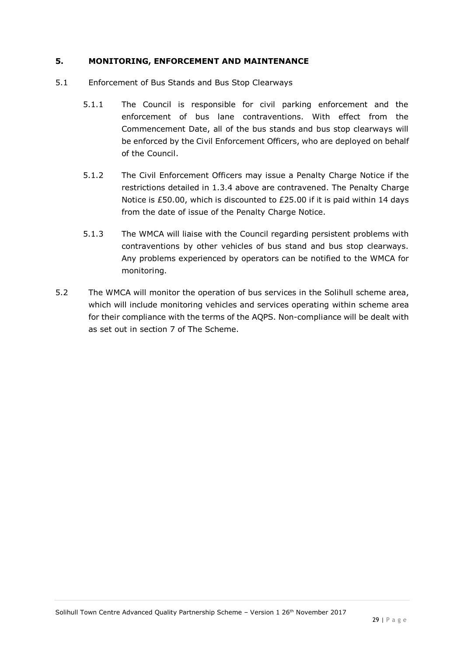#### **5. MONITORING, ENFORCEMENT AND MAINTENANCE**

- 5.1 Enforcement of Bus Stands and Bus Stop Clearways
	- 5.1.1 The Council is responsible for civil parking enforcement and the enforcement of bus lane contraventions. With effect from the Commencement Date, all of the bus stands and bus stop clearways will be enforced by the Civil Enforcement Officers, who are deployed on behalf of the Council.
	- 5.1.2 The Civil Enforcement Officers may issue a Penalty Charge Notice if the restrictions detailed in [1.3.4](#page-26-0) above are contravened. The Penalty Charge Notice is £50.00, which is discounted to £25.00 if it is paid within 14 days from the date of issue of the Penalty Charge Notice.
	- 5.1.3 The WMCA will liaise with the Council regarding persistent problems with contraventions by other vehicles of bus stand and bus stop clearways. Any problems experienced by operators can be notified to the WMCA for monitoring.
- 5.2 The WMCA will monitor the operation of bus services in the Solihull scheme area, which will include monitoring vehicles and services operating within scheme area for their compliance with the terms of the AQPS. Non-compliance will be dealt with as set out in section [7](#page-6-0) of The Scheme.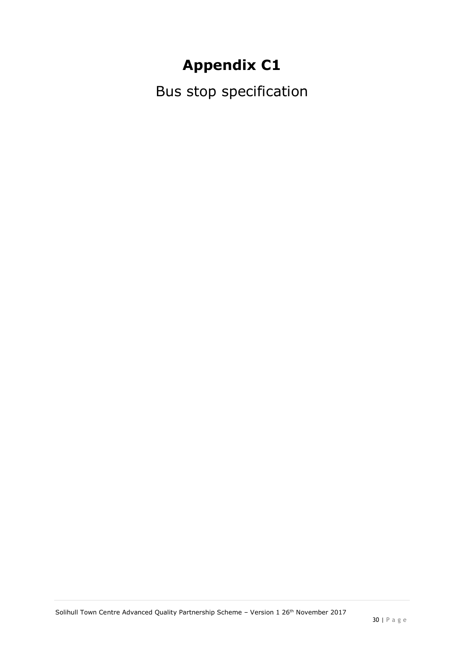### **Appendix C1**

<span id="page-29-0"></span>Bus stop specification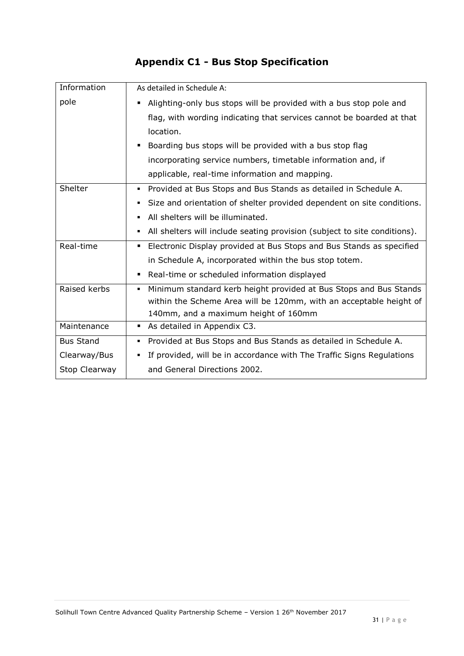#### **Appendix C1 - Bus Stop Specification**

| Information      | As detailed in Schedule A:                                                                                                                               |
|------------------|----------------------------------------------------------------------------------------------------------------------------------------------------------|
| pole             | Alighting-only bus stops will be provided with a bus stop pole and<br>flag, with wording indicating that services cannot be boarded at that<br>location. |
|                  | Boarding bus stops will be provided with a bus stop flag<br>٠                                                                                            |
|                  | incorporating service numbers, timetable information and, if                                                                                             |
|                  |                                                                                                                                                          |
|                  | applicable, real-time information and mapping.                                                                                                           |
| Shelter          | Provided at Bus Stops and Bus Stands as detailed in Schedule A.<br>٠                                                                                     |
|                  | Size and orientation of shelter provided dependent on site conditions.<br>٠                                                                              |
|                  | All shelters will be illuminated.<br>٠                                                                                                                   |
|                  | All shelters will include seating provision (subject to site conditions).                                                                                |
| Real-time        | Electronic Display provided at Bus Stops and Bus Stands as specified<br>٠                                                                                |
|                  | in Schedule A, incorporated within the bus stop totem.                                                                                                   |
|                  | Real-time or scheduled information displayed<br>٠                                                                                                        |
| Raised kerbs     | Minimum standard kerb height provided at Bus Stops and Bus Stands<br>٠                                                                                   |
|                  | within the Scheme Area will be 120mm, with an acceptable height of                                                                                       |
|                  | 140mm, and a maximum height of 160mm                                                                                                                     |
| Maintenance      | As detailed in Appendix C3.<br>п                                                                                                                         |
| <b>Bus Stand</b> | Provided at Bus Stops and Bus Stands as detailed in Schedule A.<br>٠                                                                                     |
| Clearway/Bus     | If provided, will be in accordance with The Traffic Signs Regulations<br>٠                                                                               |
| Stop Clearway    | and General Directions 2002.                                                                                                                             |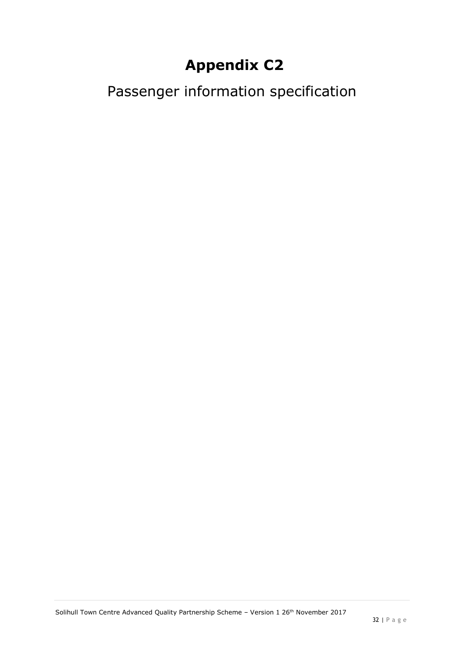### <span id="page-31-0"></span>**Appendix C2**

Passenger information specification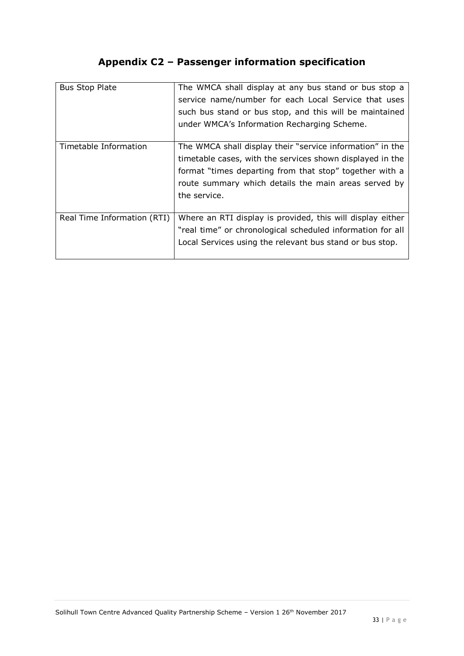#### **Appendix C2 – Passenger information specification**

| <b>Bus Stop Plate</b>       | The WMCA shall display at any bus stand or bus stop a<br>service name/number for each Local Service that uses<br>such bus stand or bus stop, and this will be maintained<br>under WMCA's Information Recharging Scheme.                                   |
|-----------------------------|-----------------------------------------------------------------------------------------------------------------------------------------------------------------------------------------------------------------------------------------------------------|
| Timetable Information       | The WMCA shall display their "service information" in the<br>timetable cases, with the services shown displayed in the<br>format "times departing from that stop" together with a<br>route summary which details the main areas served by<br>the service. |
| Real Time Information (RTI) | Where an RTI display is provided, this will display either<br>"real time" or chronological scheduled information for all<br>Local Services using the relevant bus stand or bus stop.                                                                      |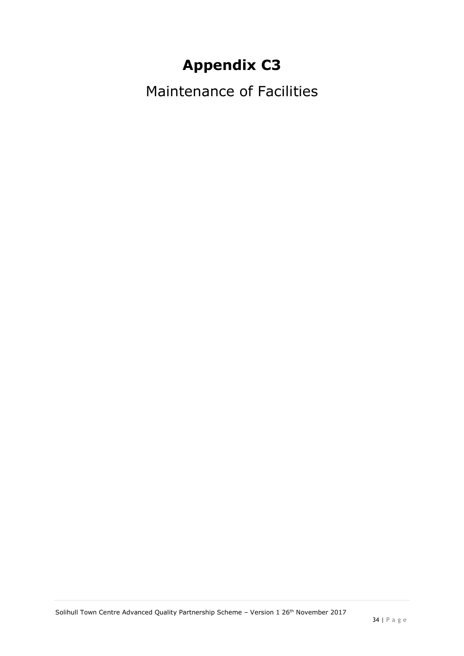### **Appendix C3**

<span id="page-33-0"></span>Maintenance of Facilities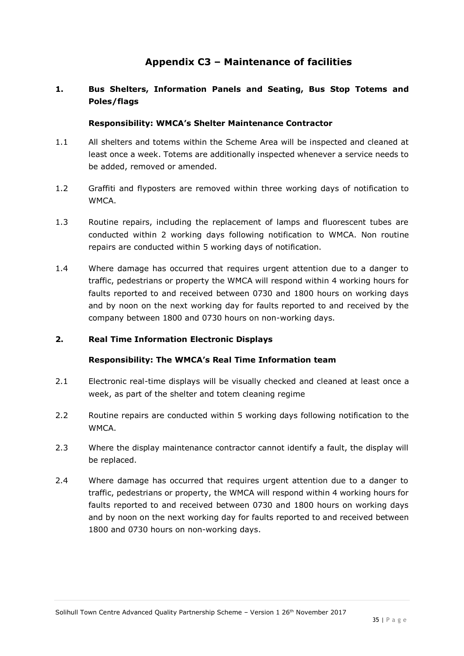#### **Appendix C3 – Maintenance of facilities**

#### **1. Bus Shelters, Information Panels and Seating, Bus Stop Totems and Poles/flags**

#### **Responsibility: WMCA's Shelter Maintenance Contractor**

- 1.1 All shelters and totems within the Scheme Area will be inspected and cleaned at least once a week. Totems are additionally inspected whenever a service needs to be added, removed or amended.
- 1.2 Graffiti and flyposters are removed within three working days of notification to WMCA.
- 1.3 Routine repairs, including the replacement of lamps and fluorescent tubes are conducted within 2 working days following notification to WMCA. Non routine repairs are conducted within 5 working days of notification.
- 1.4 Where damage has occurred that requires urgent attention due to a danger to traffic, pedestrians or property the WMCA will respond within 4 working hours for faults reported to and received between 0730 and 1800 hours on working days and by noon on the next working day for faults reported to and received by the company between 1800 and 0730 hours on non-working days.

#### **2. Real Time Information Electronic Displays**

#### **Responsibility: The WMCA's Real Time Information team**

- 2.1 Electronic real-time displays will be visually checked and cleaned at least once a week, as part of the shelter and totem cleaning regime
- 2.2 Routine repairs are conducted within 5 working days following notification to the WMCA.
- 2.3 Where the display maintenance contractor cannot identify a fault, the display will be replaced.
- 2.4 Where damage has occurred that requires urgent attention due to a danger to traffic, pedestrians or property, the WMCA will respond within 4 working hours for faults reported to and received between 0730 and 1800 hours on working days and by noon on the next working day for faults reported to and received between 1800 and 0730 hours on non-working days.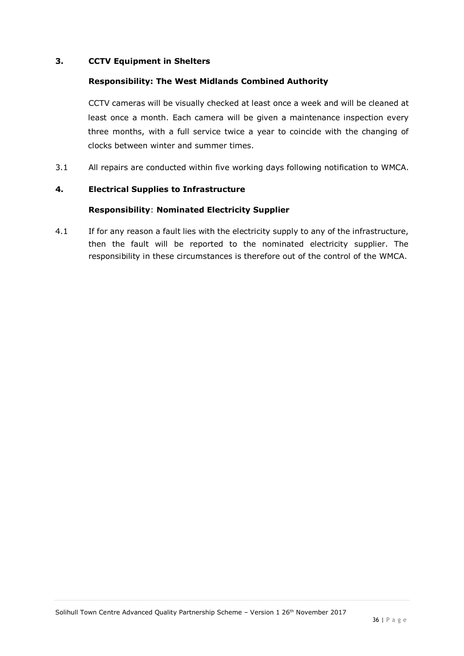#### **3. CCTV Equipment in Shelters**

#### **Responsibility: The West Midlands Combined Authority**

CCTV cameras will be visually checked at least once a week and will be cleaned at least once a month. Each camera will be given a maintenance inspection every three months, with a full service twice a year to coincide with the changing of clocks between winter and summer times.

3.1 All repairs are conducted within five working days following notification to WMCA.

#### **4. Electrical Supplies to Infrastructure**

#### **Responsibility**: **Nominated Electricity Supplier**

4.1 If for any reason a fault lies with the electricity supply to any of the infrastructure, then the fault will be reported to the nominated electricity supplier. The responsibility in these circumstances is therefore out of the control of the WMCA.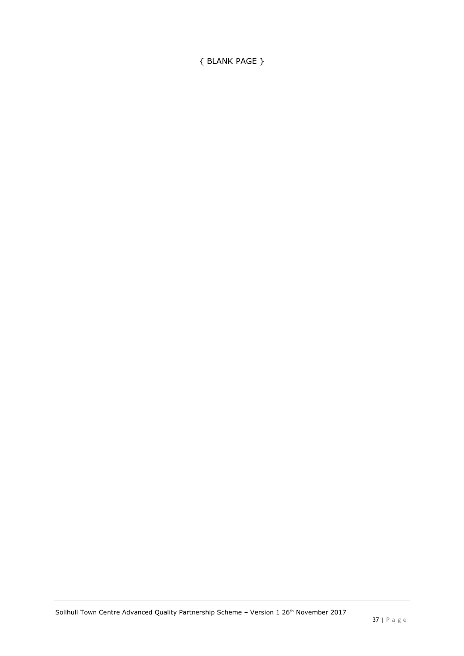#### { BLANK PAGE }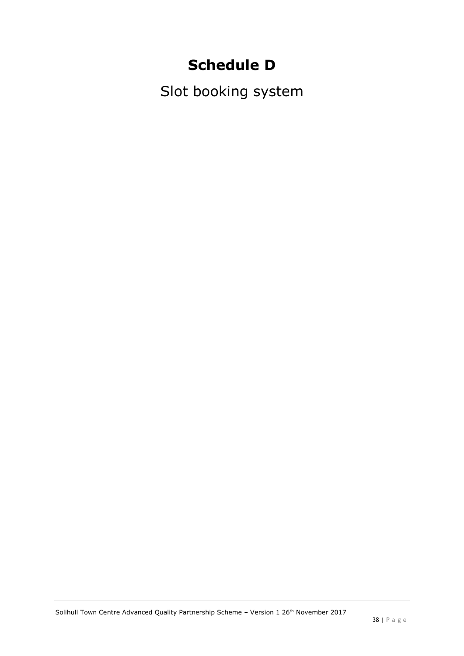### **Schedule D**

Slot booking system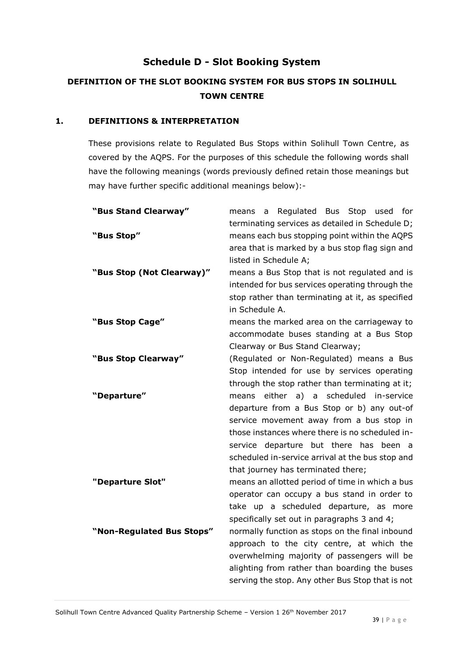#### **Schedule D - Slot Booking System**

#### **DEFINITION OF THE SLOT BOOKING SYSTEM FOR BUS STOPS IN SOLIHULL TOWN CENTRE**

#### **1. DEFINITIONS & INTERPRETATION**

These provisions relate to Regulated Bus Stops within Solihull Town Centre, as covered by the AQPS. For the purposes of this schedule the following words shall have the following meanings (words previously defined retain those meanings but may have further specific additional meanings below):-

| "Bus Stand Clearway"      | a Regulated Bus Stop used for<br>means           |  |  |  |  |  |
|---------------------------|--------------------------------------------------|--|--|--|--|--|
|                           | terminating services as detailed in Schedule D;  |  |  |  |  |  |
| "Bus Stop"                | means each bus stopping point within the AQPS    |  |  |  |  |  |
|                           | area that is marked by a bus stop flag sign and  |  |  |  |  |  |
|                           | listed in Schedule A;                            |  |  |  |  |  |
| "Bus Stop (Not Clearway)" | means a Bus Stop that is not regulated and is    |  |  |  |  |  |
|                           | intended for bus services operating through the  |  |  |  |  |  |
|                           | stop rather than terminating at it, as specified |  |  |  |  |  |
|                           | in Schedule A.                                   |  |  |  |  |  |
| "Bus Stop Cage"           | means the marked area on the carriageway to      |  |  |  |  |  |
|                           | accommodate buses standing at a Bus Stop         |  |  |  |  |  |
|                           | Clearway or Bus Stand Clearway;                  |  |  |  |  |  |
| "Bus Stop Clearway"       | (Regulated or Non-Regulated) means a Bus         |  |  |  |  |  |
|                           | Stop intended for use by services operating      |  |  |  |  |  |
|                           | through the stop rather than terminating at it;  |  |  |  |  |  |
| "Departure"               | means either a) a scheduled in-service           |  |  |  |  |  |
|                           | departure from a Bus Stop or b) any out-of       |  |  |  |  |  |
|                           | service movement away from a bus stop in         |  |  |  |  |  |
|                           | those instances where there is no scheduled in-  |  |  |  |  |  |
|                           | service departure but there has been a           |  |  |  |  |  |
|                           | scheduled in-service arrival at the bus stop and |  |  |  |  |  |
|                           | that journey has terminated there;               |  |  |  |  |  |
| "Departure Slot"          | means an allotted period of time in which a bus  |  |  |  |  |  |
|                           | operator can occupy a bus stand in order to      |  |  |  |  |  |
|                           | take up a scheduled departure, as more           |  |  |  |  |  |
|                           |                                                  |  |  |  |  |  |
|                           | specifically set out in paragraphs 3 and 4;      |  |  |  |  |  |
| "Non-Regulated Bus Stops" | normally function as stops on the final inbound  |  |  |  |  |  |
|                           | approach to the city centre, at which the        |  |  |  |  |  |
|                           | overwhelming majority of passengers will be      |  |  |  |  |  |
|                           | alighting from rather than boarding the buses    |  |  |  |  |  |
|                           | serving the stop. Any other Bus Stop that is not |  |  |  |  |  |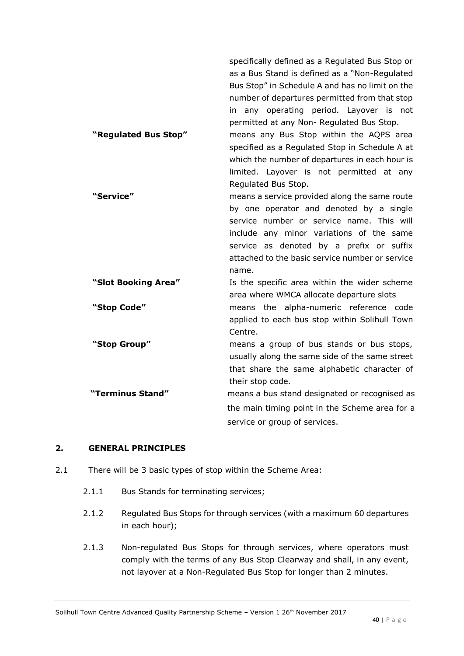|                      | specifically defined as a Regulated Bus Stop or<br>as a Bus Stand is defined as a "Non-Regulated<br>Bus Stop" in Schedule A and has no limit on the<br>number of departures permitted from that stop<br>in any operating period. Layover is not<br>permitted at any Non- Regulated Bus Stop. |
|----------------------|----------------------------------------------------------------------------------------------------------------------------------------------------------------------------------------------------------------------------------------------------------------------------------------------|
| "Regulated Bus Stop" | means any Bus Stop within the AQPS area<br>specified as a Regulated Stop in Schedule A at<br>which the number of departures in each hour is                                                                                                                                                  |
|                      | limited. Layover is not permitted at any                                                                                                                                                                                                                                                     |
|                      | Regulated Bus Stop.                                                                                                                                                                                                                                                                          |
| "Service"            | means a service provided along the same route                                                                                                                                                                                                                                                |
|                      | by one operator and denoted by a single                                                                                                                                                                                                                                                      |
|                      | service number or service name. This will                                                                                                                                                                                                                                                    |
|                      | include any minor variations of the same                                                                                                                                                                                                                                                     |
|                      | service as denoted by a prefix or suffix                                                                                                                                                                                                                                                     |
|                      | attached to the basic service number or service                                                                                                                                                                                                                                              |
|                      | name.                                                                                                                                                                                                                                                                                        |
| "Slot Booking Area"  | Is the specific area within the wider scheme<br>area where WMCA allocate departure slots                                                                                                                                                                                                     |
| "Stop Code"          | means the alpha-numeric reference code                                                                                                                                                                                                                                                       |
|                      | applied to each bus stop within Solihull Town                                                                                                                                                                                                                                                |
|                      | Centre.                                                                                                                                                                                                                                                                                      |
| "Stop Group"         | means a group of bus stands or bus stops,                                                                                                                                                                                                                                                    |
|                      | usually along the same side of the same street                                                                                                                                                                                                                                               |
|                      | that share the same alphabetic character of                                                                                                                                                                                                                                                  |
|                      | their stop code.                                                                                                                                                                                                                                                                             |
| "Terminus Stand"     | means a bus stand designated or recognised as                                                                                                                                                                                                                                                |
|                      | the main timing point in the Scheme area for a                                                                                                                                                                                                                                               |
|                      | service or group of services.                                                                                                                                                                                                                                                                |

#### **2. GENERAL PRINCIPLES**

- 2.1 There will be 3 basic types of stop within the Scheme Area:
	- 2.1.1 Bus Stands for terminating services;
	- 2.1.2 Regulated Bus Stops for through services (with a maximum 60 departures in each hour);
	- 2.1.3 Non-regulated Bus Stops for through services, where operators must comply with the terms of any Bus Stop Clearway and shall, in any event, not layover at a Non-Regulated Bus Stop for longer than 2 minutes.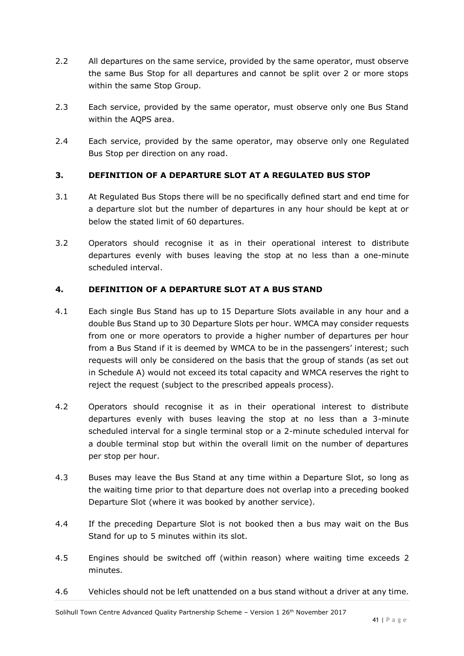- 2.2 All departures on the same service, provided by the same operator, must observe the same Bus Stop for all departures and cannot be split over 2 or more stops within the same Stop Group.
- 2.3 Each service, provided by the same operator, must observe only one Bus Stand within the AQPS area.
- 2.4 Each service, provided by the same operator, may observe only one Regulated Bus Stop per direction on any road.

#### **3. DEFINITION OF A DEPARTURE SLOT AT A REGULATED BUS STOP**

- 3.1 At Regulated Bus Stops there will be no specifically defined start and end time for a departure slot but the number of departures in any hour should be kept at or below the stated limit of 60 departures.
- 3.2 Operators should recognise it as in their operational interest to distribute departures evenly with buses leaving the stop at no less than a one-minute scheduled interval.

#### **4. DEFINITION OF A DEPARTURE SLOT AT A BUS STAND**

- 4.1 Each single Bus Stand has up to 15 Departure Slots available in any hour and a double Bus Stand up to 30 Departure Slots per hour. WMCA may consider requests from one or more operators to provide a higher number of departures per hour from a Bus Stand if it is deemed by WMCA to be in the passengers' interest; such requests will only be considered on the basis that the group of stands (as set out in Schedule A) would not exceed its total capacity and WMCA reserves the right to reject the request (subject to the prescribed appeals process).
- 4.2 Operators should recognise it as in their operational interest to distribute departures evenly with buses leaving the stop at no less than a 3-minute scheduled interval for a single terminal stop or a 2-minute scheduled interval for a double terminal stop but within the overall limit on the number of departures per stop per hour.
- 4.3 Buses may leave the Bus Stand at any time within a Departure Slot, so long as the waiting time prior to that departure does not overlap into a preceding booked Departure Slot (where it was booked by another service).
- 4.4 If the preceding Departure Slot is not booked then a bus may wait on the Bus Stand for up to 5 minutes within its slot.
- 4.5 Engines should be switched off (within reason) where waiting time exceeds 2 minutes.
- 4.6 Vehicles should not be left unattended on a bus stand without a driver at any time.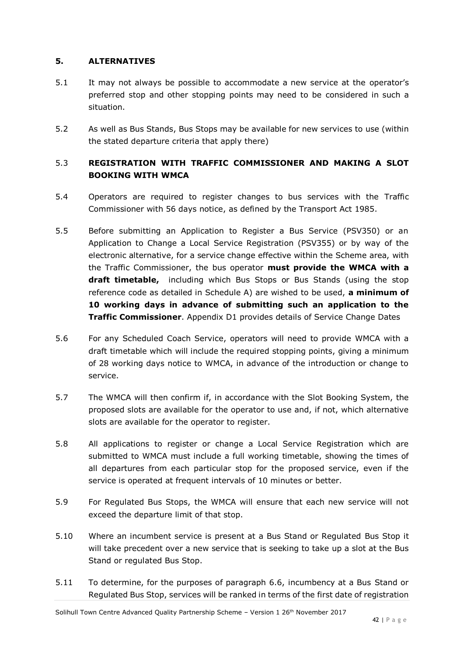#### **5. ALTERNATIVES**

- 5.1 It may not always be possible to accommodate a new service at the operator's preferred stop and other stopping points may need to be considered in such a situation.
- 5.2 As well as Bus Stands, Bus Stops may be available for new services to use (within the stated departure criteria that apply there)

#### 5.3 **REGISTRATION WITH TRAFFIC COMMISSIONER AND MAKING A SLOT BOOKING WITH WMCA**

- 5.4 Operators are required to register changes to bus services with the Traffic Commissioner with 56 days notice, as defined by the Transport Act 1985.
- 5.5 Before submitting an Application to Register a Bus Service (PSV350) or an Application to Change a Local Service Registration (PSV355) or by way of the electronic alternative, for a service change effective within the Scheme area, with the Traffic Commissioner, the bus operator **must provide the WMCA with a draft timetable,** including which Bus Stops or Bus Stands (using the stop reference code as detailed in Schedule A) are wished to be used, **a minimum of 10 working days in advance of submitting such an application to the Traffic Commissioner**. Appendix D1 provides details of Service Change Dates
- 5.6 For any Scheduled Coach Service, operators will need to provide WMCA with a draft timetable which will include the required stopping points, giving a minimum of 28 working days notice to WMCA, in advance of the introduction or change to service.
- 5.7 The WMCA will then confirm if, in accordance with the Slot Booking System, the proposed slots are available for the operator to use and, if not, which alternative slots are available for the operator to register.
- 5.8 All applications to register or change a Local Service Registration which are submitted to WMCA must include a full working timetable, showing the times of all departures from each particular stop for the proposed service, even if the service is operated at frequent intervals of 10 minutes or better.
- 5.9 For Regulated Bus Stops, the WMCA will ensure that each new service will not exceed the departure limit of that stop.
- 5.10 Where an incumbent service is present at a Bus Stand or Regulated Bus Stop it will take precedent over a new service that is seeking to take up a slot at the Bus Stand or regulated Bus Stop.
- 5.11 To determine, for the purposes of paragraph 6.6, incumbency at a Bus Stand or Regulated Bus Stop, services will be ranked in terms of the first date of registration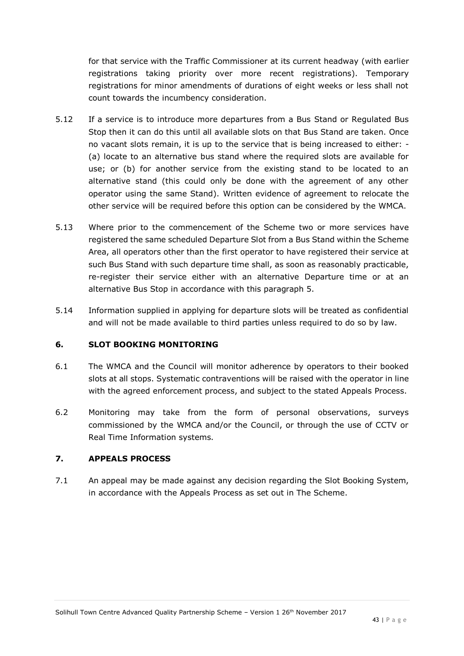for that service with the Traffic Commissioner at its current headway (with earlier registrations taking priority over more recent registrations). Temporary registrations for minor amendments of durations of eight weeks or less shall not count towards the incumbency consideration.

- 5.12 If a service is to introduce more departures from a Bus Stand or Regulated Bus Stop then it can do this until all available slots on that Bus Stand are taken. Once no vacant slots remain, it is up to the service that is being increased to either: - (a) locate to an alternative bus stand where the required slots are available for use; or (b) for another service from the existing stand to be located to an alternative stand (this could only be done with the agreement of any other operator using the same Stand). Written evidence of agreement to relocate the other service will be required before this option can be considered by the WMCA.
- 5.13 Where prior to the commencement of the Scheme two or more services have registered the same scheduled Departure Slot from a Bus Stand within the Scheme Area, all operators other than the first operator to have registered their service at such Bus Stand with such departure time shall, as soon as reasonably practicable, re-register their service either with an alternative Departure time or at an alternative Bus Stop in accordance with this paragraph 5.
- 5.14 Information supplied in applying for departure slots will be treated as confidential and will not be made available to third parties unless required to do so by law.

#### **6. SLOT BOOKING MONITORING**

- 6.1 The WMCA and the Council will monitor adherence by operators to their booked slots at all stops. Systematic contraventions will be raised with the operator in line with the agreed enforcement process, and subject to the stated Appeals Process.
- 6.2 Monitoring may take from the form of personal observations, surveys commissioned by the WMCA and/or the Council, or through the use of CCTV or Real Time Information systems.

#### **7. APPEALS PROCESS**

7.1 An appeal may be made against any decision regarding the Slot Booking System, in accordance with the Appeals Process as set out in The Scheme.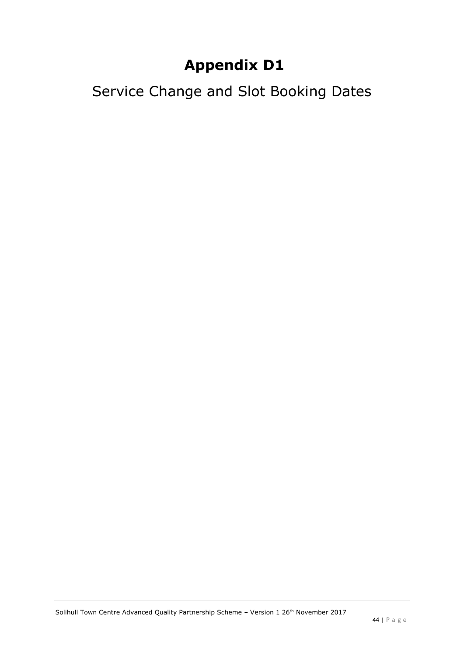### **Appendix D1**

Service Change and Slot Booking Dates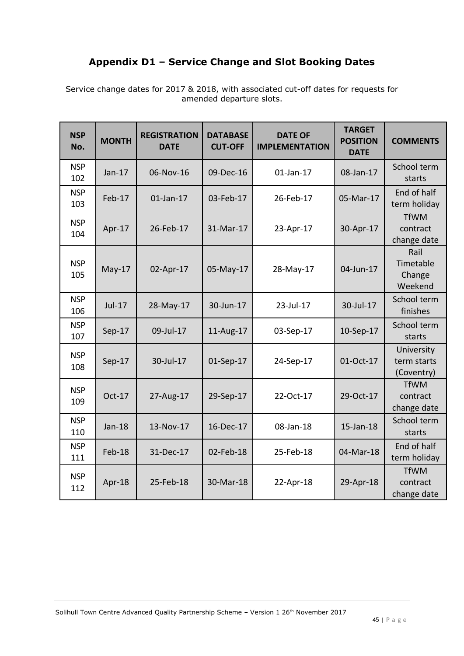#### **Appendix D1 – Service Change and Slot Booking Dates**

Service change dates for 2017 & 2018, with associated cut-off dates for requests for amended departure slots.

| <b>NSP</b><br>No. | <b>MONTH</b>  | <b>REGISTRATION</b><br><b>DATE</b> | <b>DATABASE</b><br><b>CUT-OFF</b> | <b>DATE OF</b><br><b>IMPLEMENTATION</b> | <b>TARGET</b><br><b>POSITION</b><br><b>DATE</b> | <b>COMMENTS</b>                         |
|-------------------|---------------|------------------------------------|-----------------------------------|-----------------------------------------|-------------------------------------------------|-----------------------------------------|
| <b>NSP</b><br>102 | $Jan-17$      | 06-Nov-16                          | 09-Dec-16                         | $01$ -Jan-17                            | 08-Jan-17                                       | School term<br>starts                   |
| <b>NSP</b><br>103 | Feb-17        | $01$ -Jan-17                       | 03-Feb-17                         | 26-Feb-17                               | 05-Mar-17                                       | End of half<br>term holiday             |
| <b>NSP</b><br>104 | Apr-17        | 26-Feb-17                          | 31-Mar-17                         | 23-Apr-17                               | 30-Apr-17                                       | <b>TfWM</b><br>contract<br>change date  |
| <b>NSP</b><br>105 | $May-17$      | 02-Apr-17                          | 05-May-17                         | 28-May-17                               | 04-Jun-17                                       | Rail<br>Timetable<br>Change<br>Weekend  |
| <b>NSP</b><br>106 | $Jul-17$      | 28-May-17                          | 30-Jun-17                         | 23-Jul-17                               | 30-Jul-17                                       | School term<br>finishes                 |
| <b>NSP</b><br>107 | $Sep-17$      | 09-Jul-17                          | 11-Aug-17                         | 03-Sep-17                               | 10-Sep-17                                       | School term<br>starts                   |
| <b>NSP</b><br>108 | $Sep-17$      | 30-Jul-17                          | 01-Sep-17                         | 24-Sep-17                               | 01-Oct-17                                       | University<br>term starts<br>(Coventry) |
| <b>NSP</b><br>109 | $Oct-17$      | 27-Aug-17                          | 29-Sep-17                         | 22-Oct-17                               | 29-Oct-17                                       | <b>TfWM</b><br>contract<br>change date  |
| <b>NSP</b><br>110 | <b>Jan-18</b> | 13-Nov-17                          | 16-Dec-17                         | 08-Jan-18                               | 15-Jan-18                                       | School term<br>starts                   |
| <b>NSP</b><br>111 | Feb-18        | 31-Dec-17                          | 02-Feb-18                         | 25-Feb-18                               | 04-Mar-18                                       | End of half<br>term holiday             |
| <b>NSP</b><br>112 | Apr-18        | 25-Feb-18                          | 30-Mar-18                         | 22-Apr-18                               | 29-Apr-18                                       | <b>TfWM</b><br>contract<br>change date  |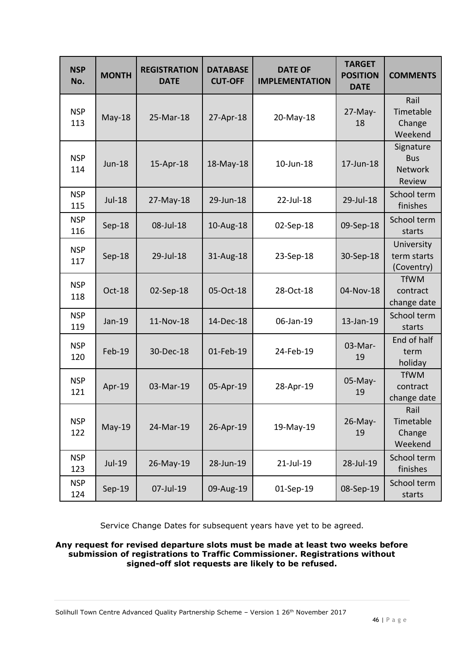| <b>NSP</b><br>No. | <b>MONTH</b>  | <b>REGISTRATION</b><br><b>DATE</b> | <b>DATABASE</b><br><b>CUT-OFF</b> | <b>DATE OF</b><br><b>IMPLEMENTATION</b> | <b>TARGET</b><br><b>POSITION</b><br><b>DATE</b> | <b>COMMENTS</b>                                     |
|-------------------|---------------|------------------------------------|-----------------------------------|-----------------------------------------|-------------------------------------------------|-----------------------------------------------------|
| <b>NSP</b><br>113 | May-18        | 25-Mar-18                          | 27-Apr-18                         | 20-May-18                               | $27$ -May-<br>18                                | Rail<br>Timetable<br>Change<br>Weekend              |
| <b>NSP</b><br>114 | <b>Jun-18</b> | 15-Apr-18                          | 18-May-18                         | 10-Jun-18                               | 17-Jun-18                                       | Signature<br><b>Bus</b><br><b>Network</b><br>Review |
| <b>NSP</b><br>115 | <b>Jul-18</b> | 27-May-18                          | 29-Jun-18                         | 22-Jul-18                               | 29-Jul-18                                       | School term<br>finishes                             |
| <b>NSP</b><br>116 | Sep-18        | 08-Jul-18                          | 10-Aug-18                         | 02-Sep-18                               | 09-Sep-18                                       | School term<br>starts                               |
| <b>NSP</b><br>117 | $Sep-18$      | 29-Jul-18                          | 31-Aug-18                         | 23-Sep-18                               | 30-Sep-18                                       | University<br>term starts<br>(Coventry)             |
| <b>NSP</b><br>118 | Oct-18        | 02-Sep-18                          | 05-Oct-18                         | 28-Oct-18                               | 04-Nov-18                                       | <b>TfWM</b><br>contract<br>change date              |
| <b>NSP</b><br>119 | Jan-19        | 11-Nov-18                          | 14-Dec-18                         | 06-Jan-19                               | 13-Jan-19                                       | School term<br>starts                               |
| <b>NSP</b><br>120 | Feb-19        | 30-Dec-18                          | 01-Feb-19                         | 24-Feb-19                               | 03-Mar-<br>19                                   | End of half<br>term<br>holiday                      |
| <b>NSP</b><br>121 | Apr-19        | 03-Mar-19                          | 05-Apr-19                         | 28-Apr-19                               | 05-May-<br>19                                   | <b>TfWM</b><br>contract<br>change date              |
| <b>NSP</b><br>122 | $May-19$      | 24-Mar-19                          | 26-Apr-19                         | 19-May-19                               | 26-May-<br>19                                   | Rail<br>Timetable<br>Change<br>Weekend              |
| <b>NSP</b><br>123 | Jul-19        | 26-May-19                          | 28-Jun-19                         | 21-Jul-19                               | 28-Jul-19                                       | School term<br>finishes                             |
| <b>NSP</b><br>124 | Sep-19        | 07-Jul-19                          | 09-Aug-19                         | 01-Sep-19                               | 08-Sep-19                                       | School term<br>starts                               |

Service Change Dates for subsequent years have yet to be agreed.

**Any request for revised departure slots must be made at least two weeks before submission of registrations to Traffic Commissioner. Registrations without signed-off slot requests are likely to be refused.**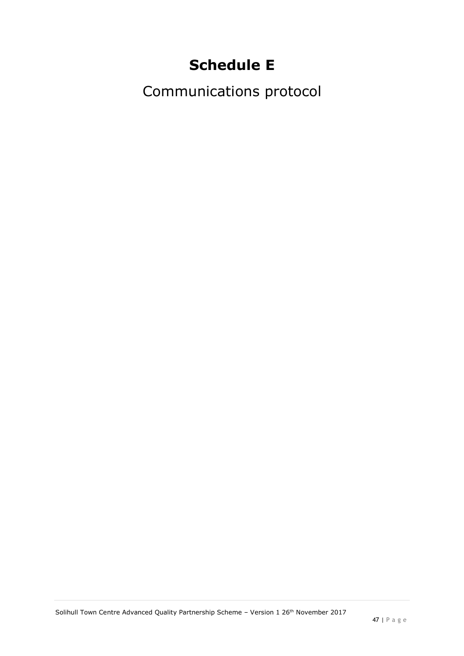### **Schedule E**

Communications protocol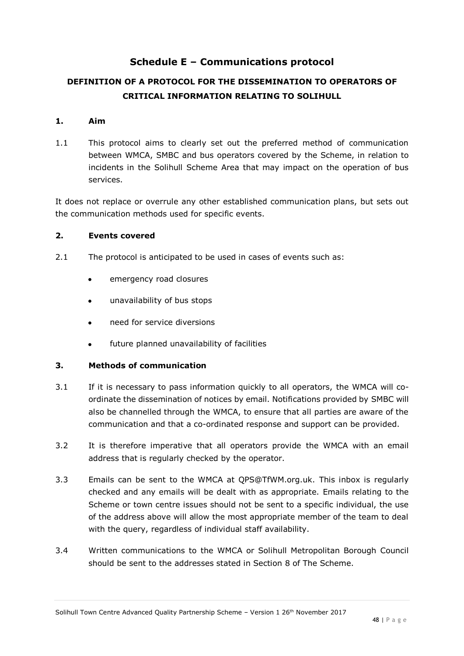#### **Schedule E – Communications protocol**

#### **DEFINITION OF A PROTOCOL FOR THE DISSEMINATION TO OPERATORS OF CRITICAL INFORMATION RELATING TO SOLIHULL**

#### **1. Aim**

1.1 This protocol aims to clearly set out the preferred method of communication between WMCA, SMBC and bus operators covered by the Scheme, in relation to incidents in the Solihull Scheme Area that may impact on the operation of bus services.

It does not replace or overrule any other established communication plans, but sets out the communication methods used for specific events.

#### **2. Events covered**

- 2.1 The protocol is anticipated to be used in cases of events such as:
	- emergency road closures
	- unavailability of bus stops
	- need for service diversions
	- future planned unavailability of facilities

#### **3. Methods of communication**

- 3.1 If it is necessary to pass information quickly to all operators, the WMCA will coordinate the dissemination of notices by email. Notifications provided by SMBC will also be channelled through the WMCA, to ensure that all parties are aware of the communication and that a co-ordinated response and support can be provided.
- 3.2 It is therefore imperative that all operators provide the WMCA with an email address that is regularly checked by the operator.
- 3.3 Emails can be sent to the WMCA at [QPS@TfWM.org.uk.](mailto:QPS@TfWM.org.uk) This inbox is regularly checked and any emails will be dealt with as appropriate. Emails relating to the Scheme or town centre issues should not be sent to a specific individual, the use of the address above will allow the most appropriate member of the team to deal with the query, regardless of individual staff availability.
- 3.4 Written communications to the WMCA or Solihull Metropolitan Borough Council should be sent to the addresses stated in Section 8 of The Scheme.